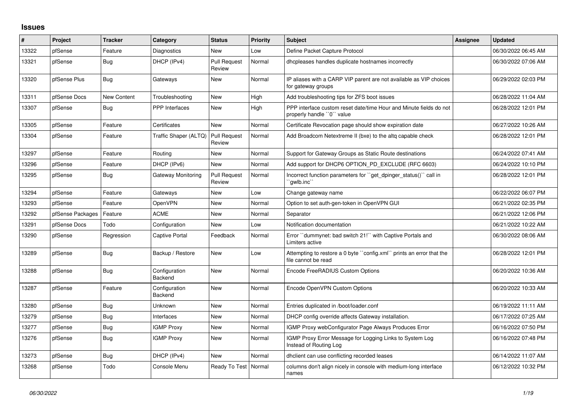## **Issues**

| #     | Project          | <b>Tracker</b> | Category                 | <b>Status</b>                 | <b>Priority</b> | <b>Subject</b>                                                                                  | <b>Assignee</b> | <b>Updated</b>      |
|-------|------------------|----------------|--------------------------|-------------------------------|-----------------|-------------------------------------------------------------------------------------------------|-----------------|---------------------|
| 13322 | pfSense          | Feature        | Diagnostics              | New                           | Low             | Define Packet Capture Protocol                                                                  |                 | 06/30/2022 06:45 AM |
| 13321 | pfSense          | Bug            | DHCP (IPv4)              | <b>Pull Request</b><br>Review | Normal          | dhcpleases handles duplicate hostnames incorrectly                                              |                 | 06/30/2022 07:06 AM |
| 13320 | pfSense Plus     | Bug            | Gateways                 | <b>New</b>                    | Normal          | IP aliases with a CARP VIP parent are not available as VIP choices<br>for gateway groups        |                 | 06/29/2022 02:03 PM |
| 13311 | pfSense Docs     | New Content    | Troubleshooting          | <b>New</b>                    | High            | Add troubleshooting tips for ZFS boot issues                                                    |                 | 06/28/2022 11:04 AM |
| 13307 | pfSense          | Bug            | <b>PPP</b> Interfaces    | <b>New</b>                    | High            | PPP interface custom reset date/time Hour and Minute fields do not<br>properly handle "0" value |                 | 06/28/2022 12:01 PM |
| 13305 | pfSense          | Feature        | Certificates             | <b>New</b>                    | Normal          | Certificate Revocation page should show expiration date                                         |                 | 06/27/2022 10:26 AM |
| 13304 | pfSense          | Feature        | Traffic Shaper (ALTQ)    | <b>Pull Request</b><br>Review | Normal          | Add Broadcom Netextreme II (bxe) to the altg capable check                                      |                 | 06/28/2022 12:01 PM |
| 13297 | pfSense          | Feature        | Routing                  | <b>New</b>                    | Normal          | Support for Gateway Groups as Static Route destinations                                         |                 | 06/24/2022 07:41 AM |
| 13296 | pfSense          | Feature        | DHCP (IPv6)              | <b>New</b>                    | Normal          | Add support for DHCP6 OPTION PD EXCLUDE (RFC 6603)                                              |                 | 06/24/2022 10:10 PM |
| 13295 | pfSense          | Bug            | Gateway Monitoring       | <b>Pull Request</b><br>Review | Normal          | Incorrect function parameters for "get_dpinger_status()" call in<br>`qwlb.inc`                  |                 | 06/28/2022 12:01 PM |
| 13294 | pfSense          | Feature        | Gateways                 | <b>New</b>                    | Low             | Change gateway name                                                                             |                 | 06/22/2022 06:07 PM |
| 13293 | pfSense          | Feature        | <b>OpenVPN</b>           | <b>New</b>                    | Normal          | Option to set auth-gen-token in OpenVPN GUI                                                     |                 | 06/21/2022 02:35 PM |
| 13292 | pfSense Packages | Feature        | <b>ACME</b>              | <b>New</b>                    | Normal          | Separator                                                                                       |                 | 06/21/2022 12:06 PM |
| 13291 | pfSense Docs     | Todo           | Configuration            | <b>New</b>                    | Low             | Notification documentation                                                                      |                 | 06/21/2022 10:22 AM |
| 13290 | pfSense          | Regression     | Captive Portal           | Feedback                      | Normal          | Error "dummynet: bad switch 21!" with Captive Portals and<br>Limiters active                    |                 | 06/30/2022 08:06 AM |
| 13289 | pfSense          | Bug            | Backup / Restore         | <b>New</b>                    | Low             | Attempting to restore a 0 byte "config.xml" prints an error that the<br>file cannot be read     |                 | 06/28/2022 12:01 PM |
| 13288 | pfSense          | <b>Bug</b>     | Configuration<br>Backend | <b>New</b>                    | Normal          | Encode FreeRADIUS Custom Options                                                                |                 | 06/20/2022 10:36 AM |
| 13287 | pfSense          | Feature        | Configuration<br>Backend | <b>New</b>                    | Normal          | Encode OpenVPN Custom Options                                                                   |                 | 06/20/2022 10:33 AM |
| 13280 | pfSense          | <b>Bug</b>     | Unknown                  | <b>New</b>                    | Normal          | Entries duplicated in /boot/loader.conf                                                         |                 | 06/19/2022 11:11 AM |
| 13279 | pfSense          | <b>Bug</b>     | Interfaces               | <b>New</b>                    | Normal          | DHCP config override affects Gateway installation.                                              |                 | 06/17/2022 07:25 AM |
| 13277 | pfSense          | Bug            | <b>IGMP Proxy</b>        | <b>New</b>                    | Normal          | IGMP Proxy webConfigurator Page Always Produces Error                                           |                 | 06/16/2022 07:50 PM |
| 13276 | pfSense          | Bug            | <b>IGMP Proxy</b>        | New                           | Normal          | IGMP Proxy Error Message for Logging Links to System Log<br>Instead of Routing Log              |                 | 06/16/2022 07:48 PM |
| 13273 | pfSense          | Bug            | DHCP (IPv4)              | <b>New</b>                    | Normal          | dhclient can use conflicting recorded leases                                                    |                 | 06/14/2022 11:07 AM |
| 13268 | pfSense          | Todo           | Console Menu             | Ready To Test   Normal        |                 | columns don't align nicely in console with medium-long interface<br>names                       |                 | 06/12/2022 10:32 PM |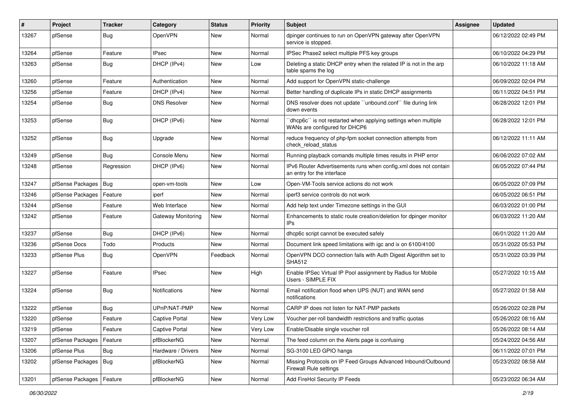| #     | Project          | <b>Tracker</b> | Category              | <b>Status</b> | <b>Priority</b> | <b>Subject</b>                                                                                 | Assignee | <b>Updated</b>      |
|-------|------------------|----------------|-----------------------|---------------|-----------------|------------------------------------------------------------------------------------------------|----------|---------------------|
| 13267 | pfSense          | Bug            | OpenVPN               | New           | Normal          | dpinger continues to run on OpenVPN gateway after OpenVPN<br>service is stopped.               |          | 06/12/2022 02:49 PM |
| 13264 | pfSense          | Feature        | <b>IPsec</b>          | New           | Normal          | IPSec Phase2 select multiple PFS key groups                                                    |          | 06/10/2022 04:29 PM |
| 13263 | pfSense          | Bug            | DHCP (IPv4)           | New           | Low             | Deleting a static DHCP entry when the related IP is not in the arp<br>table spams the log      |          | 06/10/2022 11:18 AM |
| 13260 | pfSense          | Feature        | Authentication        | New           | Normal          | Add support for OpenVPN static-challenge                                                       |          | 06/09/2022 02:04 PM |
| 13256 | pfSense          | Feature        | DHCP (IPv4)           | New           | Normal          | Better handling of duplicate IPs in static DHCP assignments                                    |          | 06/11/2022 04:51 PM |
| 13254 | pfSense          | Bug            | <b>DNS Resolver</b>   | New           | Normal          | DNS resolver does not update "unbound.conf" file during link<br>down events                    |          | 06/28/2022 12:01 PM |
| 13253 | pfSense          | Bug            | DHCP (IPv6)           | New           | Normal          | dhcp6c" is not restarted when applying settings when multiple<br>WANs are configured for DHCP6 |          | 06/28/2022 12:01 PM |
| 13252 | pfSense          | Bug            | Upgrade               | <b>New</b>    | Normal          | reduce frequency of php-fpm socket connection attempts from<br>check_reload_status             |          | 06/12/2022 11:11 AM |
| 13249 | pfSense          | Bug            | Console Menu          | New           | Normal          | Running playback comands multiple times results in PHP error                                   |          | 06/06/2022 07:02 AM |
| 13248 | pfSense          | Regression     | DHCP (IPv6)           | <b>New</b>    | Normal          | IPv6 Router Advertisements runs when config.xml does not contain<br>an entry for the interface |          | 06/05/2022 07:44 PM |
| 13247 | pfSense Packages | <b>Bug</b>     | open-vm-tools         | New           | Low             | Open-VM-Tools service actions do not work                                                      |          | 06/05/2022 07:09 PM |
| 13246 | pfSense Packages | Feature        | iperf                 | New           | Normal          | iperf3 service controls do not work                                                            |          | 06/05/2022 06:51 PM |
| 13244 | pfSense          | Feature        | Web Interface         | <b>New</b>    | Normal          | Add help text under Timezone settings in the GUI                                               |          | 06/03/2022 01:00 PM |
| 13242 | pfSense          | Feature        | Gateway Monitoring    | New           | Normal          | Enhancements to static route creation/deletion for dpinger monitor<br>IP <sub>s</sub>          |          | 06/03/2022 11:20 AM |
| 13237 | pfSense          | Bug            | DHCP (IPv6)           | New           | Normal          | dhcp6c script cannot be executed safely                                                        |          | 06/01/2022 11:20 AM |
| 13236 | pfSense Docs     | Todo           | Products              | New           | Normal          | Document link speed limitations with igc and ix on 6100/4100                                   |          | 05/31/2022 05:53 PM |
| 13233 | pfSense Plus     | Bug            | OpenVPN               | Feedback      | Normal          | OpenVPN DCO connection fails with Auth Digest Algorithm set to<br><b>SHA512</b>                |          | 05/31/2022 03:39 PM |
| 13227 | pfSense          | Feature        | <b>IPsec</b>          | New           | High            | Enable IPSec Virtual IP Pool assignment by Radius for Mobile<br>Users - SIMPLE FIX             |          | 05/27/2022 10:15 AM |
| 13224 | pfSense          | Bug            | <b>Notifications</b>  | New           | Normal          | Email notification flood when UPS (NUT) and WAN send<br>notifications                          |          | 05/27/2022 01:58 AM |
| 13222 | pfSense          | <b>Bug</b>     | UPnP/NAT-PMP          | <b>New</b>    | Normal          | CARP IP does not listen for NAT-PMP packets                                                    |          | 05/26/2022 02:28 PM |
| 13220 | pfSense          | Feature        | <b>Captive Portal</b> | New           | Very Low        | Voucher per-roll bandwidth restrictions and traffic quotas                                     |          | 05/26/2022 08:16 AM |
| 13219 | pfSense          | Feature        | Captive Portal        | <b>New</b>    | Very Low        | Enable/Disable single voucher roll                                                             |          | 05/26/2022 08:14 AM |
| 13207 | pfSense Packages | Feature        | pfBlockerNG           | New           | Normal          | The feed column on the Alerts page is confusing                                                |          | 05/24/2022 04:56 AM |
| 13206 | pfSense Plus     | Bug            | Hardware / Drivers    | New           | Normal          | SG-3100 LED GPIO hangs                                                                         |          | 06/11/2022 07:01 PM |
| 13202 | pfSense Packages | Bug            | pfBlockerNG           | New           | Normal          | Missing Protocols on IP Feed Groups Advanced Inbound/Outbound<br><b>Firewall Rule settings</b> |          | 05/23/2022 08:58 AM |
| 13201 | pfSense Packages | Feature        | pfBlockerNG           | New           | Normal          | Add FireHol Security IP Feeds                                                                  |          | 05/23/2022 06:34 AM |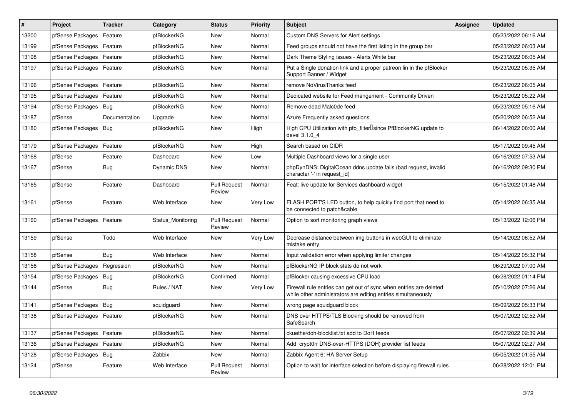| #     | Project          | <b>Tracker</b> | Category          | <b>Status</b>                 | <b>Priority</b> | Subject                                                                                                                             | Assignee | <b>Updated</b>      |
|-------|------------------|----------------|-------------------|-------------------------------|-----------------|-------------------------------------------------------------------------------------------------------------------------------------|----------|---------------------|
| 13200 | pfSense Packages | Feature        | pfBlockerNG       | New                           | Normal          | Custom DNS Servers for Alert settings                                                                                               |          | 05/23/2022 06:16 AM |
| 13199 | pfSense Packages | Feature        | pfBlockerNG       | New                           | Normal          | Feed groups should not have the first listing in the group bar                                                                      |          | 05/23/2022 06:03 AM |
| 13198 | pfSense Packages | Feature        | pfBlockerNG       | New                           | Normal          | Dark Theme Styling issues - Alerts White bar                                                                                        |          | 05/23/2022 06:05 AM |
| 13197 | pfSense Packages | Feature        | pfBlockerNG       | <b>New</b>                    | Normal          | Put a Single donation link and a proper patreon lin in the pfBlocker<br>Support Banner / Widget                                     |          | 05/23/2022 05:35 AM |
| 13196 | pfSense Packages | Feature        | pfBlockerNG       | <b>New</b>                    | Normal          | remove NoVirusThanks feed                                                                                                           |          | 05/23/2022 06:05 AM |
| 13195 | pfSense Packages | Feature        | pfBlockerNG       | New                           | Normal          | Dedicated website for Feed mangement - Community Driven                                                                             |          | 05/23/2022 05:22 AM |
| 13194 | pfSense Packages | Bug            | pfBlockerNG       | <b>New</b>                    | Normal          | Remove dead Malc0de feed                                                                                                            |          | 05/23/2022 05:16 AM |
| 13187 | pfSense          | Documentation  | Upgrade           | New                           | Normal          | Azure Frequently asked questions                                                                                                    |          | 05/20/2022 06:52 AM |
| 13180 | pfSense Packages | <b>Bug</b>     | pfBlockerNG       | New                           | High            | High CPU Utilization with pfb_filter <sup>[]</sup> since PfBlockerNG update to<br>devel 3.1.0 4                                     |          | 06/14/2022 08:00 AM |
| 13179 | pfSense Packages | Feature        | pfBlockerNG       | <b>New</b>                    | High            | Search based on CIDR                                                                                                                |          | 05/17/2022 09:45 AM |
| 13168 | pfSense          | Feature        | Dashboard         | <b>New</b>                    | Low             | Multiple Dashboard views for a single user                                                                                          |          | 05/16/2022 07:53 AM |
| 13167 | pfSense          | Bug            | Dynamic DNS       | New                           | Normal          | phpDynDNS: DigitalOcean ddns update fails (bad request, invalid<br>character '-' in request id)                                     |          | 06/16/2022 09:30 PM |
| 13165 | pfSense          | Feature        | Dashboard         | <b>Pull Request</b><br>Review | Normal          | Feat: live update for Services dashboard widget                                                                                     |          | 05/15/2022 01:48 AM |
| 13161 | pfSense          | Feature        | Web Interface     | New                           | Very Low        | FLASH PORT'S LED button, to help quickly find port that need to<br>be connected to patch&cable                                      |          | 05/14/2022 06:35 AM |
| 13160 | pfSense Packages | Feature        | Status Monitoring | <b>Pull Request</b><br>Review | Normal          | Option to sort monitoring graph views                                                                                               |          | 05/13/2022 12:06 PM |
| 13159 | pfSense          | Todo           | Web Interface     | New                           | Very Low        | Decrease distance between img-buttons in webGUI to eliminate<br>mistake entry                                                       |          | 05/14/2022 06:52 AM |
| 13158 | pfSense          | Bug            | Web Interface     | <b>New</b>                    | Normal          | Input validation error when applying limiter changes                                                                                |          | 05/14/2022 05:32 PM |
| 13156 | pfSense Packages | Regression     | pfBlockerNG       | <b>New</b>                    | Normal          | pfBlockerNG IP block stats do not work                                                                                              |          | 06/29/2022 07:00 AM |
| 13154 | pfSense Packages | Bug            | pfBlockerNG       | Confirmed                     | Normal          | pfBlocker causing excessive CPU load                                                                                                |          | 06/28/2022 01:14 PM |
| 13144 | pfSense          | Bug            | Rules / NAT       | <b>New</b>                    | Very Low        | Firewall rule entries can get out of sync when entries are deleted<br>while other administrators are editing entries simultaneously |          | 05/10/2022 07:26 AM |
| 13141 | pfSense Packages | Bug            | squidguard        | <b>New</b>                    | Normal          | wrong page squidguard block                                                                                                         |          | 05/09/2022 05:33 PM |
| 13138 | pfSense Packages | Feature        | pfBlockerNG       | New                           | Normal          | DNS over HTTPS/TLS Blocking should be removed from<br>SafeSearch                                                                    |          | 05/07/2022 02:52 AM |
| 13137 | pfSense Packages | Feature        | pfBlockerNG       | New                           | Normal          | ckuethe/doh-blocklist.txt add to DoH feeds                                                                                          |          | 05/07/2022 02:39 AM |
| 13136 | pfSense Packages | Feature        | pfBlockerNG       | New                           | Normal          | Add crypt0rr DNS-over-HTTPS (DOH) provider list feeds                                                                               |          | 05/07/2022 02:27 AM |
| 13128 | pfSense Packages | Bug            | Zabbix            | New                           | Normal          | Zabbix Agent 6: HA Server Setup                                                                                                     |          | 05/05/2022 01:55 AM |
| 13124 | pfSense          | Feature        | Web Interface     | <b>Pull Request</b><br>Review | Normal          | Option to wait for interface selection before displaying firewall rules                                                             |          | 06/28/2022 12:01 PM |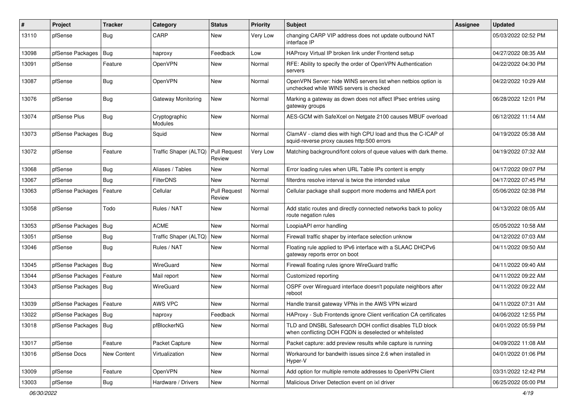| #     | Project                | <b>Tracker</b> | Category                        | <b>Status</b>                 | <b>Priority</b> | Subject                                                                                                            | Assignee | <b>Updated</b>      |
|-------|------------------------|----------------|---------------------------------|-------------------------------|-----------------|--------------------------------------------------------------------------------------------------------------------|----------|---------------------|
| 13110 | pfSense                | Bug            | CARP                            | New                           | Very Low        | changing CARP VIP address does not update outbound NAT<br>interface IP                                             |          | 05/03/2022 02:52 PM |
| 13098 | pfSense Packages       | Bug            | haproxy                         | Feedback                      | Low             | HAProxy Virtual IP broken link under Frontend setup                                                                |          | 04/27/2022 08:35 AM |
| 13091 | pfSense                | Feature        | OpenVPN                         | New                           | Normal          | RFE: Ability to specify the order of OpenVPN Authentication<br>servers                                             |          | 04/22/2022 04:30 PM |
| 13087 | pfSense                | Bug            | <b>OpenVPN</b>                  | New                           | Normal          | OpenVPN Server: hide WINS servers list when netbios option is<br>unchecked while WINS servers is checked           |          | 04/22/2022 10:29 AM |
| 13076 | pfSense                | Bug            | Gateway Monitoring              | <b>New</b>                    | Normal          | Marking a gateway as down does not affect IPsec entries using<br>gateway groups                                    |          | 06/28/2022 12:01 PM |
| 13074 | pfSense Plus           | Bug            | Cryptographic<br><b>Modules</b> | New                           | Normal          | AES-GCM with SafeXcel on Netgate 2100 causes MBUF overload                                                         |          | 06/12/2022 11:14 AM |
| 13073 | pfSense Packages       | Bug            | Squid                           | New                           | Normal          | ClamAV - clamd dies with high CPU load and thus the C-ICAP of<br>squid-reverse proxy causes http:500 errors        |          | 04/19/2022 05:38 AM |
| 13072 | pfSense                | Feature        | Traffic Shaper (ALTQ)           | <b>Pull Request</b><br>Review | Very Low        | Matching background/font colors of queue values with dark theme.                                                   |          | 04/19/2022 07:32 AM |
| 13068 | pfSense                | <b>Bug</b>     | Aliases / Tables                | <b>New</b>                    | Normal          | Error loading rules when URL Table IPs content is empty                                                            |          | 04/17/2022 09:07 PM |
| 13067 | pfSense                | Bug            | FilterDNS                       | New                           | Normal          | filterdns resolve interval is twice the intended value                                                             |          | 04/17/2022 07:45 PM |
| 13063 | pfSense Packages       | Feature        | Cellular                        | <b>Pull Request</b><br>Review | Normal          | Cellular package shall support more modems and NMEA port                                                           |          | 05/06/2022 02:38 PM |
| 13058 | pfSense                | Todo           | Rules / NAT                     | New                           | Normal          | Add static routes and directly connected networks back to policy<br>route negation rules                           |          | 04/13/2022 08:05 AM |
| 13053 | pfSense Packages       | Bug            | <b>ACME</b>                     | <b>New</b>                    | Normal          | LoopiaAPI error handling                                                                                           |          | 05/05/2022 10:58 AM |
| 13051 | pfSense                | Bug            | Traffic Shaper (ALTQ)           | <b>New</b>                    | Normal          | Firewall traffic shaper by interface selection unknow                                                              |          | 04/12/2022 07:03 AM |
| 13046 | pfSense                | Bug            | Rules / NAT                     | <b>New</b>                    | Normal          | Floating rule applied to IPv6 interface with a SLAAC DHCPv6<br>gateway reports error on boot                       |          | 04/11/2022 09:50 AM |
| 13045 | pfSense Packages       | Bug            | WireGuard                       | <b>New</b>                    | Normal          | Firewall floating rules ignore WireGuard traffic                                                                   |          | 04/11/2022 09:40 AM |
| 13044 | pfSense Packages       | Feature        | Mail report                     | <b>New</b>                    | Normal          | Customized reporting                                                                                               |          | 04/11/2022 09:22 AM |
| 13043 | pfSense Packages       | Bug            | WireGuard                       | New                           | Normal          | OSPF over Wireguard interface doesn't populate neighbors after<br>reboot                                           |          | 04/11/2022 09:22 AM |
| 13039 | pfSense Packages       | Feature        | AWS VPC                         | <b>New</b>                    | Normal          | Handle transit gateway VPNs in the AWS VPN wizard                                                                  |          | 04/11/2022 07:31 AM |
| 13022 | pfSense Packages   Bug |                | haproxy                         | Feedback                      | Normal          | HAProxy - Sub Frontends ignore Client verification CA certificates                                                 |          | 04/06/2022 12:55 PM |
| 13018 | pfSense Packages   Bug |                | pfBlockerNG                     | New                           | Normal          | TLD and DNSBL Safesearch DOH conflict disables TLD block<br>when conflicting DOH FQDN is deselected or whitelisted |          | 04/01/2022 05:59 PM |
| 13017 | pfSense                | Feature        | Packet Capture                  | New                           | Normal          | Packet capture: add preview results while capture is running                                                       |          | 04/09/2022 11:08 AM |
| 13016 | pfSense Docs           | New Content    | Virtualization                  | New                           | Normal          | Workaround for bandwith issues since 2.6 when installed in<br>Hyper-V                                              |          | 04/01/2022 01:06 PM |
| 13009 | pfSense                | Feature        | OpenVPN                         | New                           | Normal          | Add option for multiple remote addresses to OpenVPN Client                                                         |          | 03/31/2022 12:42 PM |
| 13003 | pfSense                | <b>Bug</b>     | Hardware / Drivers              | New                           | Normal          | Malicious Driver Detection event on ixl driver                                                                     |          | 06/25/2022 05:00 PM |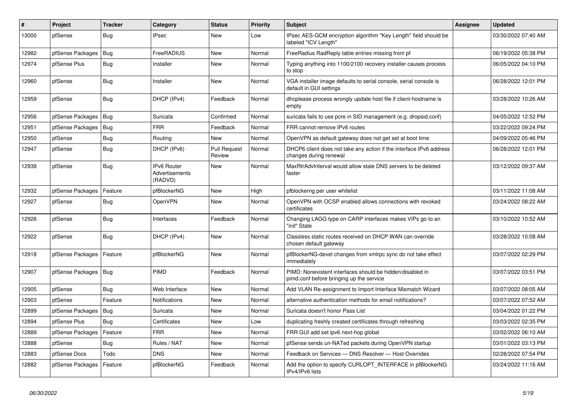| #     | Project                | <b>Tracker</b> | Category                                        | <b>Status</b>                 | <b>Priority</b> | <b>Subject</b>                                                                                        | Assignee | <b>Updated</b>      |
|-------|------------------------|----------------|-------------------------------------------------|-------------------------------|-----------------|-------------------------------------------------------------------------------------------------------|----------|---------------------|
| 13000 | pfSense                | Bug            | <b>IPsec</b>                                    | <b>New</b>                    | Low             | IPsec AES-GCM encryption algorithm "Key Length" field should be<br>labeled "ICV Length"               |          | 03/30/2022 07:40 AM |
| 12982 | pfSense Packages       | Bug            | FreeRADIUS                                      | New                           | Normal          | FreeRadius RadReply table entries missing from pf                                                     |          | 06/19/2022 05:38 PM |
| 12974 | pfSense Plus           | Bug            | Installer                                       | New                           | Normal          | Typing anything into 1100/2100 recovery installer causes process<br>to stop                           |          | 06/05/2022 04:10 PM |
| 12960 | pfSense                | Bug            | Installer                                       | New                           | Normal          | VGA installer image defaults to serial console, serial console is<br>default in GUI settings          |          | 06/28/2022 12:01 PM |
| 12959 | pfSense                | <b>Bug</b>     | DHCP (IPv4)                                     | Feedback                      | Normal          | dhoplease process wrongly update host file if client-hostname is<br>empty                             |          | 03/28/2022 10:26 AM |
| 12956 | pfSense Packages       | <b>Bug</b>     | Suricata                                        | Confirmed                     | Normal          | suricata fails to use pcre in SID management (e.g. dropsid.conf)                                      |          | 04/05/2022 12:52 PM |
| 12951 | pfSense Packages       | Bug            | <b>FRR</b>                                      | Feedback                      | Normal          | FRR cannot remove IPv6 routes                                                                         |          | 03/22/2022 09:24 PM |
| 12950 | pfSense                | Bug            | Routing                                         | New                           | Normal          | OpenVPN as default gateway does not get set at boot time                                              |          | 04/09/2022 05:46 PM |
| 12947 | pfSense                | <b>Bug</b>     | DHCP (IPv6)                                     | <b>Pull Request</b><br>Review | Normal          | DHCP6 client does not take any action if the interface IPv6 address<br>changes during renewal         |          | 06/28/2022 12:01 PM |
| 12938 | pfSense                | Bug            | <b>IPv6 Router</b><br>Advertisements<br>(RADVD) | New                           | Normal          | MaxRtrAdvInterval would allow stale DNS servers to be deleted<br>faster                               |          | 03/12/2022 09:37 AM |
| 12932 | pfSense Packages       | Feature        | pfBlockerNG                                     | <b>New</b>                    | High            | pfblockerng per user whitelist                                                                        |          | 03/11/2022 11:08 AM |
| 12927 | pfSense                | Bug            | OpenVPN                                         | <b>New</b>                    | Normal          | OpenVPN with OCSP enabled allows connections with revoked<br>certificates                             |          | 03/24/2022 08:22 AM |
| 12926 | pfSense                | <b>Bug</b>     | Interfaces                                      | Feedback                      | Normal          | Changing LAGG type on CARP interfaces makes VIPs go to an<br>"init" State                             |          | 03/10/2022 10:52 AM |
| 12922 | pfSense                | Bug            | DHCP (IPv4)                                     | <b>New</b>                    | Normal          | Classless static routes received on DHCP WAN can override<br>chosen default gateway                   |          | 03/28/2022 10:08 AM |
| 12918 | pfSense Packages       | Feature        | pfBlockerNG                                     | <b>New</b>                    | Normal          | pfBlockerNG-devel changes from xmlrpc sync do not take effect<br>immediately                          |          | 03/07/2022 02:29 PM |
| 12907 | pfSense Packages   Bug |                | PIMD                                            | Feedback                      | Normal          | PIMD: Nonexistent interfaces should be hidden/disabled in<br>pimd.conf before bringing up the service |          | 03/07/2022 03:51 PM |
| 12905 | pfSense                | Bug            | Web Interface                                   | New                           | Normal          | Add VLAN Re-assignment to Import Interface Mismatch Wizard                                            |          | 03/07/2022 08:05 AM |
| 12903 | pfSense                | Feature        | <b>Notifications</b>                            | New                           | Normal          | alternative authentication methods for email notifications?                                           |          | 03/07/2022 07:52 AM |
| 12899 | pfSense Packages       | Bug            | Suricata                                        | New                           | Normal          | Suricata doesn't honor Pass List                                                                      |          | 03/04/2022 01:22 PM |
| 12894 | pfSense Plus           | Bug            | Certificates                                    | <b>New</b>                    | Low             | duplicating freshly created certificates through refreshing                                           |          | 03/03/2022 02:35 PM |
| 12889 | pfSense Packages       | Feature        | <b>FRR</b>                                      | <b>New</b>                    | Normal          | FRR GUI add set ipv6 next-hop global                                                                  |          | 03/02/2022 06:10 AM |
| 12888 | pfSense                | Bug            | Rules / NAT                                     | <b>New</b>                    | Normal          | pfSense sends un-NATed packets during OpenVPN startup                                                 |          | 03/01/2022 03:13 PM |
| 12883 | pfSense Docs           | Todo           | <b>DNS</b>                                      | New                           | Normal          | Feedback on Services - DNS Resolver - Host Overrides                                                  |          | 02/28/2022 07:54 PM |
| 12882 | pfSense Packages       | Feature        | pfBlockerNG                                     | Feedback                      | Normal          | Add the option to specify CURLOPT_INTERFACE in pfBlockerNG<br>IPv4/IPv6 lists                         |          | 03/24/2022 11:16 AM |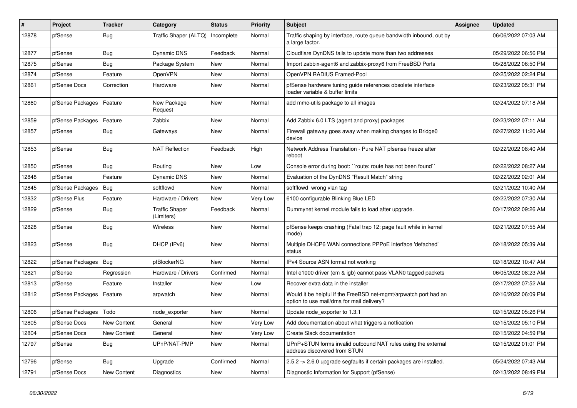| #     | Project          | <b>Tracker</b> | Category                            | <b>Status</b> | <b>Priority</b> | Subject                                                                                                       | <b>Assignee</b> | <b>Updated</b>      |
|-------|------------------|----------------|-------------------------------------|---------------|-----------------|---------------------------------------------------------------------------------------------------------------|-----------------|---------------------|
| 12878 | pfSense          | Bug            | Traffic Shaper (ALTQ)               | Incomplete    | Normal          | Traffic shaping by interface, route queue bandwidth inbound, out by<br>a large factor.                        |                 | 06/06/2022 07:03 AM |
| 12877 | pfSense          | Bug            | <b>Dynamic DNS</b>                  | Feedback      | Normal          | Cloudflare DynDNS fails to update more than two addresses                                                     |                 | 05/29/2022 06:56 PM |
| 12875 | pfSense          | Bug            | Package System                      | New           | Normal          | Import zabbix-agent6 and zabbix-proxy6 from FreeBSD Ports                                                     |                 | 05/28/2022 06:50 PM |
| 12874 | pfSense          | Feature        | <b>OpenVPN</b>                      | <b>New</b>    | Normal          | OpenVPN RADIUS Framed-Pool                                                                                    |                 | 02/25/2022 02:24 PM |
| 12861 | pfSense Docs     | Correction     | Hardware                            | <b>New</b>    | Normal          | pfSense hardware tuning guide references obsolete interface<br>loader variable & buffer limits                |                 | 02/23/2022 05:31 PM |
| 12860 | pfSense Packages | Feature        | New Package<br>Request              | <b>New</b>    | Normal          | add mmc-utils package to all images                                                                           |                 | 02/24/2022 07:18 AM |
| 12859 | pfSense Packages | Feature        | Zabbix                              | <b>New</b>    | Normal          | Add Zabbix 6.0 LTS (agent and proxy) packages                                                                 |                 | 02/23/2022 07:11 AM |
| 12857 | pfSense          | Bug            | Gateways                            | New           | Normal          | Firewall gateway goes away when making changes to Bridge0<br>device                                           |                 | 02/27/2022 11:20 AM |
| 12853 | pfSense          | <b>Bug</b>     | <b>NAT Reflection</b>               | Feedback      | High            | Network Address Translation - Pure NAT pfsense freeze after<br>reboot                                         |                 | 02/22/2022 08:40 AM |
| 12850 | pfSense          | Bug            | Routing                             | <b>New</b>    | Low             | Console error during boot: "route: route has not been found"                                                  |                 | 02/22/2022 08:27 AM |
| 12848 | pfSense          | Feature        | Dynamic DNS                         | <b>New</b>    | Normal          | Evaluation of the DynDNS "Result Match" string                                                                |                 | 02/22/2022 02:01 AM |
| 12845 | pfSense Packages | <b>Bug</b>     | softflowd                           | New           | Normal          | softflowd wrong vlan tag                                                                                      |                 | 02/21/2022 10:40 AM |
| 12832 | pfSense Plus     | Feature        | Hardware / Drivers                  | New           | Very Low        | 6100 configurable Blinking Blue LED                                                                           |                 | 02/22/2022 07:30 AM |
| 12829 | pfSense          | Bug            | <b>Traffic Shaper</b><br>(Limiters) | Feedback      | Normal          | Dummynet kernel module fails to load after upgrade.                                                           |                 | 03/17/2022 09:26 AM |
| 12828 | pfSense          | <b>Bug</b>     | Wireless                            | <b>New</b>    | Normal          | pfSense keeps crashing (Fatal trap 12: page fault while in kernel<br>mode)                                    |                 | 02/21/2022 07:55 AM |
| 12823 | pfSense          | Bug            | DHCP (IPv6)                         | <b>New</b>    | Normal          | Multiple DHCP6 WAN connections PPPoE interface 'defached'<br>status                                           |                 | 02/18/2022 05:39 AM |
| 12822 | pfSense Packages | Bug            | pfBlockerNG                         | New           | Normal          | IPv4 Source ASN format not working                                                                            |                 | 02/18/2022 10:47 AM |
| 12821 | pfSense          | Regression     | Hardware / Drivers                  | Confirmed     | Normal          | Intel e1000 driver (em & igb) cannot pass VLAN0 tagged packets                                                |                 | 06/05/2022 08:23 AM |
| 12813 | pfSense          | Feature        | Installer                           | New           | Low             | Recover extra data in the installer                                                                           |                 | 02/17/2022 07:52 AM |
| 12812 | pfSense Packages | Feature        | arpwatch                            | New           | Normal          | Would it be helpful if the FreeBSD net-mgmt/arpwatch port had an<br>option to use mail/dma for mail delivery? |                 | 02/16/2022 06:09 PM |
| 12806 | pfSense Packages | Todo           | node exporter                       | New           | Normal          | Update node_exporter to 1.3.1                                                                                 |                 | 02/15/2022 05:26 PM |
| 12805 | pfSense Docs     | New Content    | General                             | <b>New</b>    | Very Low        | Add documentation about what triggers a notfication                                                           |                 | 02/15/2022 05:10 PM |
| 12804 | pfSense Docs     | New Content    | General                             | New           | Very Low        | Create Slack documentation                                                                                    |                 | 02/15/2022 04:59 PM |
| 12797 | pfSense          | <b>Bug</b>     | UPnP/NAT-PMP                        | New           | Normal          | UPnP+STUN forms invalid outbound NAT rules using the external<br>address discovered from STUN                 |                 | 02/15/2022 01:01 PM |
| 12796 | pfSense          | Bug            | Upgrade                             | Confirmed     | Normal          | 2.5.2 -> 2.6.0 upgrade segfaults if certain packages are installed.                                           |                 | 05/24/2022 07:43 AM |
| 12791 | pfSense Docs     | New Content    | Diagnostics                         | New           | Normal          | Diagnostic Information for Support (pfSense)                                                                  |                 | 02/13/2022 08:49 PM |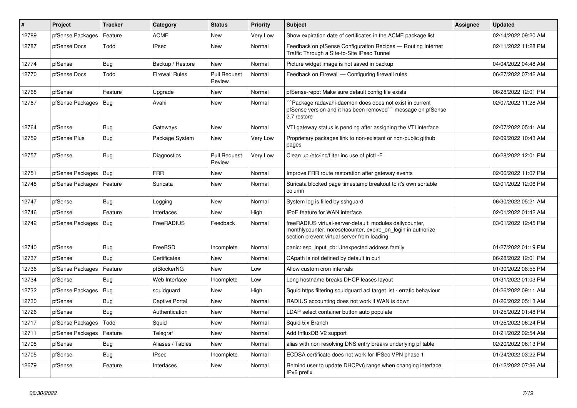| #     | Project          | <b>Tracker</b> | Category              | <b>Status</b>                 | <b>Priority</b> | <b>Subject</b>                                                                                                                                                          | <b>Assignee</b> | <b>Updated</b>      |
|-------|------------------|----------------|-----------------------|-------------------------------|-----------------|-------------------------------------------------------------------------------------------------------------------------------------------------------------------------|-----------------|---------------------|
| 12789 | pfSense Packages | Feature        | <b>ACME</b>           | <b>New</b>                    | Very Low        | Show expiration date of certificates in the ACME package list                                                                                                           |                 | 02/14/2022 09:20 AM |
| 12787 | pfSense Docs     | Todo           | <b>IPsec</b>          | <b>New</b>                    | Normal          | Feedback on pfSense Configuration Recipes - Routing Internet<br>Traffic Through a Site-to-Site IPsec Tunnel                                                             |                 | 02/11/2022 11:28 PM |
| 12774 | pfSense          | Bug            | Backup / Restore      | New                           | Normal          | Picture widget image is not saved in backup                                                                                                                             |                 | 04/04/2022 04:48 AM |
| 12770 | pfSense Docs     | Todo           | <b>Firewall Rules</b> | <b>Pull Request</b><br>Review | Normal          | Feedback on Firewall - Configuring firewall rules                                                                                                                       |                 | 06/27/2022 07:42 AM |
| 12768 | pfSense          | Feature        | Upgrade               | <b>New</b>                    | Normal          | pfSense-repo: Make sure default config file exists                                                                                                                      |                 | 06/28/2022 12:01 PM |
| 12767 | pfSense Packages | Bug            | Avahi                 | <b>New</b>                    | Normal          | `Package radavahi-daemon does does not exist in current<br>pfSense version and it has been removed``` message on pfSense<br>2.7 restore                                 |                 | 02/07/2022 11:28 AM |
| 12764 | pfSense          | Bug            | Gateways              | New                           | Normal          | VTI gateway status is pending after assigning the VTI interface                                                                                                         |                 | 02/07/2022 05:41 AM |
| 12759 | pfSense Plus     | <b>Bug</b>     | Package System        | New                           | Very Low        | Proprietary packages link to non-existant or non-public github<br>pages                                                                                                 |                 | 02/09/2022 10:43 AM |
| 12757 | pfSense          | Bug            | Diagnostics           | <b>Pull Request</b><br>Review | Very Low        | Clean up /etc/inc/filter.inc use of pfctl -F                                                                                                                            |                 | 06/28/2022 12:01 PM |
| 12751 | pfSense Packages | Bug            | <b>FRR</b>            | <b>New</b>                    | Normal          | Improve FRR route restoration after gateway events                                                                                                                      |                 | 02/06/2022 11:07 PM |
| 12748 | pfSense Packages | Feature        | Suricata              | <b>New</b>                    | Normal          | Suricata blocked page timestamp breakout to it's own sortable<br>column                                                                                                 |                 | 02/01/2022 12:06 PM |
| 12747 | pfSense          | Bug            | Logging               | New                           | Normal          | System log is filled by sshguard                                                                                                                                        |                 | 06/30/2022 05:21 AM |
| 12746 | pfSense          | Feature        | Interfaces            | <b>New</b>                    | High            | IPoE feature for WAN interface                                                                                                                                          |                 | 02/01/2022 01:42 AM |
| 12742 | pfSense Packages | Bug            | FreeRADIUS            | Feedback                      | Normal          | freeRADIUS virtual-server-default: modules dailycounter,<br>monthlycounter, noresetcounter, expire on login in authorize<br>section prevent virtual server from loading |                 | 03/01/2022 12:45 PM |
| 12740 | pfSense          | Bug            | FreeBSD               | Incomplete                    | Normal          | panic: esp input cb: Unexpected address family                                                                                                                          |                 | 01/27/2022 01:19 PM |
| 12737 | pfSense          | <b>Bug</b>     | Certificates          | New                           | Normal          | CApath is not defined by default in curl                                                                                                                                |                 | 06/28/2022 12:01 PM |
| 12736 | pfSense Packages | Feature        | pfBlockerNG           | <b>New</b>                    | Low             | Allow custom cron intervals                                                                                                                                             |                 | 01/30/2022 08:55 PM |
| 12734 | pfSense          | Bug            | Web Interface         | Incomplete                    | Low             | Long hostname breaks DHCP leases layout                                                                                                                                 |                 | 01/31/2022 01:03 PM |
| 12732 | pfSense Packages | Bug            | squidguard            | <b>New</b>                    | High            | Squid https filtering squidguard acl target list - erratic behaviour                                                                                                    |                 | 01/26/2022 09:11 AM |
| 12730 | pfSense          | Bug            | <b>Captive Portal</b> | New                           | Normal          | RADIUS accounting does not work if WAN is down                                                                                                                          |                 | 01/26/2022 05:13 AM |
| 12726 | pfSense          | Bug            | Authentication        | New                           | Normal          | LDAP select container button auto populate                                                                                                                              |                 | 01/25/2022 01:48 PM |
| 12717 | pfSense Packages | Todo           | Squid                 | <b>New</b>                    | Normal          | Squid 5.x Branch                                                                                                                                                        |                 | 01/25/2022 06:24 PM |
| 12711 | pfSense Packages | Feature        | Telegraf              | <b>New</b>                    | Normal          | Add InfluxDB V2 support                                                                                                                                                 |                 | 01/21/2022 02:54 AM |
| 12708 | pfSense          | <b>Bug</b>     | Aliases / Tables      | <b>New</b>                    | Normal          | alias with non resolving DNS entry breaks underlying pf table                                                                                                           |                 | 02/20/2022 06:13 PM |
| 12705 | pfSense          | Bug            | <b>IPsec</b>          | Incomplete                    | Normal          | ECDSA certificate does not work for IPSec VPN phase 1                                                                                                                   |                 | 01/24/2022 03:22 PM |
| 12679 | pfSense          | Feature        | Interfaces            | <b>New</b>                    | Normal          | Remind user to update DHCPv6 range when changing interface<br>IPv6 prefix                                                                                               |                 | 01/12/2022 07:36 AM |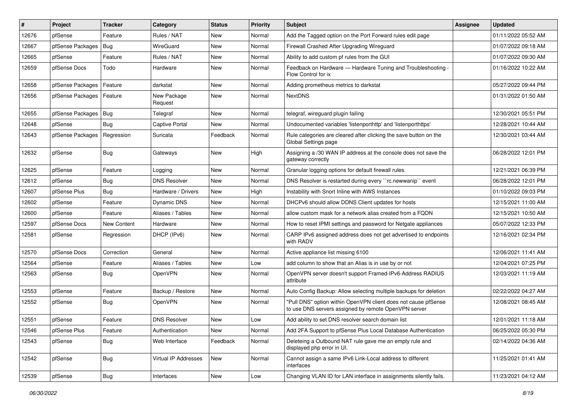| #     | Project          | <b>Tracker</b> | Category               | <b>Status</b> | <b>Priority</b> | <b>Subject</b>                                                                                                         | Assignee | <b>Updated</b>      |
|-------|------------------|----------------|------------------------|---------------|-----------------|------------------------------------------------------------------------------------------------------------------------|----------|---------------------|
| 12676 | pfSense          | Feature        | Rules / NAT            | New           | Normal          | Add the Tagged option on the Port Forward rules edit page                                                              |          | 01/11/2022 05:52 AM |
| 12667 | pfSense Packages | <b>Bug</b>     | WireGuard              | <b>New</b>    | Normal          | Firewall Crashed After Upgrading Wireguard                                                                             |          | 01/07/2022 09:18 AM |
| 12665 | pfSense          | Feature        | Rules / NAT            | New           | Normal          | Ability to add custom pf rules from the GUI                                                                            |          | 01/07/2022 09:30 AM |
| 12659 | pfSense Docs     | Todo           | Hardware               | New           | Normal          | Feedback on Hardware - Hardware Tuning and Troubleshooting -<br>Flow Control for ix                                    |          | 01/16/2022 10:22 AM |
| 12658 | pfSense Packages | Feature        | darkstat               | New           | Normal          | Adding prometheus metrics to darkstat                                                                                  |          | 05/27/2022 09:44 PM |
| 12656 | pfSense Packages | Feature        | New Package<br>Request | <b>New</b>    | Normal          | <b>NextDNS</b>                                                                                                         |          | 01/31/2022 01:50 AM |
| 12655 | pfSense Packages | <b>Bug</b>     | Telegraf               | <b>New</b>    | Normal          | telegraf, wireguard plugin failing                                                                                     |          | 12/30/2021 05:51 PM |
| 12648 | pfSense          | <b>Bug</b>     | <b>Captive Portal</b>  | <b>New</b>    | Normal          | Undocumented variables 'listenporthttp' and 'listenporthttps'                                                          |          | 12/28/2021 10:44 AM |
| 12643 | pfSense Packages | Regression     | Suricata               | Feedback      | Normal          | Rule categories are cleared after clicking the save button on the<br>Global Settings page                              |          | 12/30/2021 03:44 AM |
| 12632 | pfSense          | Bug            | Gateways               | <b>New</b>    | High            | Assigning a /30 WAN IP address at the console does not save the<br>gateway correctly                                   |          | 06/28/2022 12:01 PM |
| 12625 | pfSense          | Feature        | Logging                | <b>New</b>    | Normal          | Granular logging options for default firewall rules.                                                                   |          | 12/21/2021 06:39 PM |
| 12612 | pfSense          | Bug            | <b>DNS Resolver</b>    | <b>New</b>    | Normal          | DNS Resolver is restarted during every "rc.newwanip" event                                                             |          | 06/28/2022 12:01 PM |
| 12607 | pfSense Plus     | Bug            | Hardware / Drivers     | New           | High            | Instability with Snort Inline with AWS Instances                                                                       |          | 01/10/2022 09:03 PM |
| 12602 | pfSense          | Feature        | Dynamic DNS            | <b>New</b>    | Normal          | DHCPv6 should allow DDNS Client updates for hosts                                                                      |          | 12/15/2021 11:00 AM |
| 12600 | pfSense          | Feature        | Aliases / Tables       | <b>New</b>    | Normal          | allow custom mask for a network alias created from a FQDN                                                              |          | 12/15/2021 10:50 AM |
| 12597 | pfSense Docs     | New Content    | Hardware               | New           | Normal          | How to reset IPMI settings and password for Netgate appliances                                                         |          | 05/07/2022 12:33 PM |
| 12581 | pfSense          | Regression     | DHCP (IPv6)            | <b>New</b>    | Normal          | CARP IPv6 assigned address does not get advertised to endpoints<br>with RADV                                           |          | 12/16/2021 02:34 PM |
| 12570 | pfSense Docs     | Correction     | General                | <b>New</b>    | Normal          | Active appliance list missing 6100                                                                                     |          | 12/06/2021 11:41 AM |
| 12564 | pfSense          | Feature        | Aliases / Tables       | <b>New</b>    | Low             | add column to show that an Alias is in use by or not                                                                   |          | 12/04/2021 07:25 PM |
| 12563 | pfSense          | <b>Bug</b>     | <b>OpenVPN</b>         | New           | Normal          | OpenVPN server doesn't support Framed-IPv6-Address RADIUS<br>attribute                                                 |          | 12/03/2021 11:19 AM |
| 12553 | pfSense          | Feature        | Backup / Restore       | <b>New</b>    | Normal          | Auto Config Backup: Allow selecting multiple backups for deletion                                                      |          | 02/22/2022 04:27 AM |
| 12552 | pfSense          | Bug            | OpenVPN                | New           | Normal          | "Pull DNS" option within OpenVPN client does not cause pfSense<br>to use DNS servers assigned by remote OpenVPN server |          | 12/08/2021 08:45 AM |
| 12551 | pfSense          | Feature        | <b>DNS Resolver</b>    | New           | Low             | Add ability to set DNS resolver search domain list                                                                     |          | 12/01/2021 11:18 AM |
| 12546 | pfSense Plus     | Feature        | Authentication         | New           | Normal          | Add 2FA Support to pfSense Plus Local Database Authentication                                                          |          | 06/25/2022 05:30 PM |
| 12543 | pfSense          | <b>Bug</b>     | Web Interface          | Feedback      | Normal          | Deleteing a Outbound NAT rule gave me an empty rule and<br>displayed php error in UI.                                  |          | 02/14/2022 04:36 AM |
| 12542 | pfSense          | Bug            | Virtual IP Addresses   | New           | Normal          | Cannot assign a same IPv6 Link-Local address to different<br>interfaces                                                |          | 11/25/2021 01:41 AM |
| 12539 | pfSense          | <b>Bug</b>     | Interfaces             | New           | Low             | Changing VLAN ID for LAN interface in assignments silently fails.                                                      |          | 11/23/2021 04:12 AM |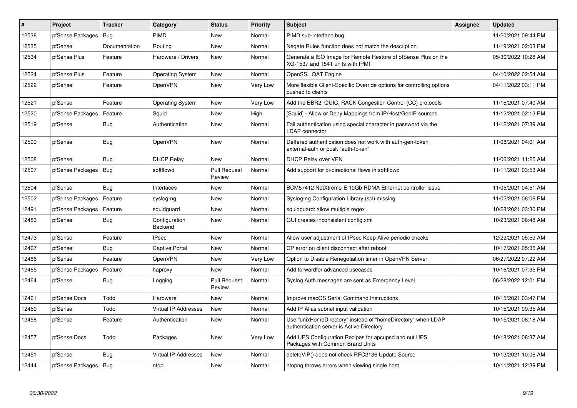| $\vert$ # | Project          | Tracker       | Category                    | <b>Status</b>                 | Priority | <b>Subject</b>                                                                                            | <b>Assignee</b> | <b>Updated</b>      |
|-----------|------------------|---------------|-----------------------------|-------------------------------|----------|-----------------------------------------------------------------------------------------------------------|-----------------|---------------------|
| 12538     | pfSense Packages | Bug           | PIMD                        | New                           | Normal   | PIMD sub-interface bug                                                                                    |                 | 11/20/2021 09:44 PM |
| 12535     | pfSense          | Documentation | Routing                     | New                           | Normal   | Negate Rules function does not match the description                                                      |                 | 11/19/2021 02:03 PM |
| 12534     | pfSense Plus     | Feature       | Hardware / Drivers          | <b>New</b>                    | Normal   | Generate a ISO Image for Remote Restore of pfSense Plus on the<br>XG-1537 and 1541 units with IPMI        |                 | 05/30/2022 10:28 AM |
| 12524     | pfSense Plus     | Feature       | <b>Operating System</b>     | <b>New</b>                    | Normal   | OpenSSL QAT Engine                                                                                        |                 | 04/10/2022 02:54 AM |
| 12522     | pfSense          | Feature       | OpenVPN                     | New                           | Very Low | More flexible Client-Specific Override options for controlling options<br>pushed to clients               |                 | 04/11/2022 03:11 PM |
| 12521     | pfSense          | Feature       | <b>Operating System</b>     | New                           | Very Low | Add the BBR2, QUIC, RACK Congestion Control (CC) protocols                                                |                 | 11/15/2021 07:40 AM |
| 12520     | pfSense Packages | Feature       | Squid                       | New                           | High     | [Squid] - Allow or Deny Mappings from IP/Host/GeoIP sources                                               |                 | 11/12/2021 02:13 PM |
| 12519     | pfSense          | Bug           | Authentication              | New                           | Normal   | Fail authentication using special character in password via the<br>LDAP connector                         |                 | 11/12/2021 07:39 AM |
| 12509     | pfSense          | Bug           | <b>OpenVPN</b>              | <b>New</b>                    | Normal   | Deffered authentication does not work with auth-gen-token<br>external-auth or pusk "auth-token"           |                 | 11/08/2021 04:01 AM |
| 12508     | pfSense          | Bug           | <b>DHCP Relay</b>           | <b>New</b>                    | Normal   | DHCP Relay over VPN                                                                                       |                 | 11/06/2021 11:25 AM |
| 12507     | pfSense Packages | Bug           | softflowd                   | <b>Pull Request</b><br>Review | Normal   | Add support for bi-directional flows in softflowd                                                         |                 | 11/11/2021 03:53 AM |
| 12504     | pfSense          | <b>Bug</b>    | Interfaces                  | New                           | Normal   | BCM57412 NetXtreme-E 10Gb RDMA Ethernet controller issue                                                  |                 | 11/05/2021 04:51 AM |
| 12502     | pfSense Packages | Feature       | syslog-ng                   | New                           | Normal   | Syslog-ng Configuration Library (scl) missing                                                             |                 | 11/02/2021 06:06 PM |
| 12491     | pfSense Packages | Feature       | squidguard                  | New                           | Normal   | squidguard: allow multiple regex                                                                          |                 | 10/28/2021 03:30 PM |
| 12483     | pfSense          | Bug           | Configuration<br>Backend    | <b>New</b>                    | Normal   | GUI creates inconsistent config.xml                                                                       |                 | 10/23/2021 06:48 AM |
| 12473     | pfSense          | Feature       | <b>IPsec</b>                | <b>New</b>                    | Normal   | Allow user adjustment of IPsec Keep Alive periodic checks                                                 |                 | 12/22/2021 05:59 AM |
| 12467     | pfSense          | Bug           | Captive Portal              | <b>New</b>                    | Normal   | CP error on client disconnect after reboot                                                                |                 | 10/17/2021 05:35 AM |
| 12466     | pfSense          | Feature       | <b>OpenVPN</b>              | New                           | Very Low | Option to Disable Renegotiation timer in OpenVPN Server                                                   |                 | 06/27/2022 07:22 AM |
| 12465     | pfSense Packages | Feature       | haproxy                     | New                           | Normal   | Add forwardfor advanced usecases                                                                          |                 | 10/16/2021 07:35 PM |
| 12464     | pfSense          | Bug           | Logging                     | <b>Pull Request</b><br>Review | Normal   | Syslog Auth messages are sent as Emergency Level                                                          |                 | 06/28/2022 12:01 PM |
| 12461     | pfSense Docs     | Todo          | Hardware                    | <b>New</b>                    | Normal   | Improve macOS Serial Command Instructions                                                                 |                 | 10/15/2021 03:47 PM |
| 12459     | pfSense          | Todo          | <b>Virtual IP Addresses</b> | New                           | Normal   | Add IP Alias subnet input validation                                                                      |                 | 10/15/2021 09:35 AM |
| 12458     | pfSense          | Feature       | Authentication              | <b>New</b>                    | Normal   | Use "unixHomeDirectory" instead of "homeDirectory" when LDAP<br>authentication server is Active Directory |                 | 10/15/2021 08:18 AM |
| 12457     | pfSense Docs     | Todo          | Packages                    | <b>New</b>                    | Very Low | Add UPS Configuration Recipes for apcupsd and nut UPS<br>Packages with Common Brand Units                 |                 | 10/18/2021 08:37 AM |
| 12451     | pfSense          | Bug           | <b>Virtual IP Addresses</b> | New                           | Normal   | deleteVIP() does not check RFC2136 Update Source                                                          |                 | 10/13/2021 10:06 AM |
| 12444     | pfSense Packages | Bug           | ntop                        | <b>New</b>                    | Normal   | ntopng throws errors when viewing single host                                                             |                 | 10/11/2021 12:39 PM |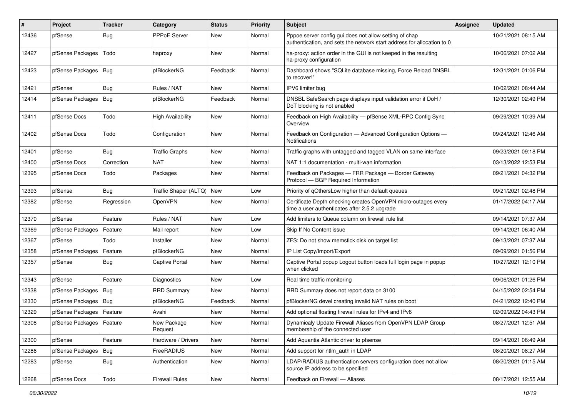| $\#$  | Project                    | <b>Tracker</b> | Category                 | <b>Status</b> | <b>Priority</b> | <b>Subject</b>                                                                                                                   | <b>Assignee</b> | <b>Updated</b>      |
|-------|----------------------------|----------------|--------------------------|---------------|-----------------|----------------------------------------------------------------------------------------------------------------------------------|-----------------|---------------------|
| 12436 | pfSense                    | Bug            | <b>PPPoE Server</b>      | New           | Normal          | Pppoe server config gui does not allow setting of chap<br>authentication, and sets the network start address for allocation to 0 |                 | 10/21/2021 08:15 AM |
| 12427 | pfSense Packages           | Todo           | haproxy                  | New           | Normal          | ha-proxy: action order in the GUI is not keeped in the resulting<br>ha-proxy configuration                                       |                 | 10/06/2021 07:02 AM |
| 12423 | pfSense Packages           | Bug            | pfBlockerNG              | Feedback      | Normal          | Dashboard shows "SQLite database missing, Force Reload DNSBL<br>to recover!"                                                     |                 | 12/31/2021 01:06 PM |
| 12421 | pfSense                    | Bug            | Rules / NAT              | New           | Normal          | IPV6 limiter bug                                                                                                                 |                 | 10/02/2021 08:44 AM |
| 12414 | pfSense Packages           | Bug            | pfBlockerNG              | Feedback      | Normal          | DNSBL SafeSearch page displays input validation error if DoH /<br>DoT blocking is not enabled                                    |                 | 12/30/2021 02:49 PM |
| 12411 | pfSense Docs               | Todo           | <b>High Availability</b> | New           | Normal          | Feedback on High Availability - pfSense XML-RPC Config Sync<br>Overview                                                          |                 | 09/29/2021 10:39 AM |
| 12402 | pfSense Docs               | Todo           | Configuration            | New           | Normal          | Feedback on Configuration - Advanced Configuration Options -<br><b>Notifications</b>                                             |                 | 09/24/2021 12:46 AM |
| 12401 | pfSense                    | Bug            | <b>Traffic Graphs</b>    | New           | Normal          | Traffic graphs with untagged and tagged VLAN on same interface                                                                   |                 | 09/23/2021 09:18 PM |
| 12400 | pfSense Docs               | Correction     | <b>NAT</b>               | New           | Normal          | NAT 1:1 documentation - multi-wan information                                                                                    |                 | 03/13/2022 12:53 PM |
| 12395 | pfSense Docs               | Todo           | Packages                 | New           | Normal          | Feedback on Packages - FRR Package - Border Gateway<br>Protocol - BGP Required Information                                       |                 | 09/21/2021 04:32 PM |
| 12393 | pfSense                    | Bug            | Traffic Shaper (ALTQ)    | <b>New</b>    | Low             | Priority of gOthersLow higher than default queues                                                                                |                 | 09/21/2021 02:48 PM |
| 12382 | pfSense                    | Regression     | <b>OpenVPN</b>           | New           | Normal          | Certificate Depth checking creates OpenVPN micro-outages every<br>time a user authenticates after 2.5.2 upgrade                  |                 | 01/17/2022 04:17 AM |
| 12370 | pfSense                    | Feature        | Rules / NAT              | <b>New</b>    | Low             | Add limiters to Queue column on firewall rule list                                                                               |                 | 09/14/2021 07:37 AM |
| 12369 | pfSense Packages           | Feature        | Mail report              | New           | Low             | Skip If No Content issue                                                                                                         |                 | 09/14/2021 06:40 AM |
| 12367 | pfSense                    | Todo           | Installer                | New           | Normal          | ZFS: Do not show memstick disk on target list                                                                                    |                 | 09/13/2021 07:37 AM |
| 12358 | pfSense Packages           | Feature        | pfBlockerNG              | <b>New</b>    | Normal          | IP List Copy/Import/Export                                                                                                       |                 | 09/09/2021 01:56 PM |
| 12357 | pfSense                    | Bug            | Captive Portal           | New           | Normal          | Captive Portal popup Logout button loads full login page in popup<br>when clicked                                                |                 | 10/27/2021 12:10 PM |
| 12343 | pfSense                    | Feature        | Diagnostics              | <b>New</b>    | Low             | Real time traffic monitoring                                                                                                     |                 | 09/06/2021 01:26 PM |
| 12338 | pfSense Packages           | Bug            | <b>RRD Summary</b>       | New           | Normal          | RRD Summary does not report data on 3100                                                                                         |                 | 04/15/2022 02:54 PM |
| 12330 | pfSense Packages           | Bug            | pfBlockerNG              | Feedback      | Normal          | pfBlockerNG devel creating invalid NAT rules on boot                                                                             |                 | 04/21/2022 12:40 PM |
| 12329 | pfSense Packages           | Feature        | Avahi                    | New           | Normal          | Add optional floating firewall rules for IPv4 and IPv6                                                                           |                 | 02/09/2022 04:43 PM |
| 12308 | pfSense Packages   Feature |                | New Package<br>Request   | New           | Normal          | Dynamicaly Update Firewall Aliases from OpenVPN LDAP Group<br>membership of the connected user                                   |                 | 08/27/2021 12:51 AM |
| 12300 | pfSense                    | Feature        | Hardware / Drivers       | New           | Normal          | Add Aquantia Atlantic driver to pfsense                                                                                          |                 | 09/14/2021 06:49 AM |
| 12286 | pfSense Packages           | Bug            | FreeRADIUS               | New           | Normal          | Add support for ntlm_auth in LDAP                                                                                                |                 | 08/20/2021 08:27 AM |
| 12283 | pfSense                    | <b>Bug</b>     | Authentication           | New           | Normal          | LDAP/RADIUS authentication servers configuration does not allow<br>source IP address to be specified                             |                 | 08/20/2021 01:15 AM |
| 12268 | pfSense Docs               | Todo           | <b>Firewall Rules</b>    | New           | Normal          | Feedback on Firewall - Aliases                                                                                                   |                 | 08/17/2021 12:55 AM |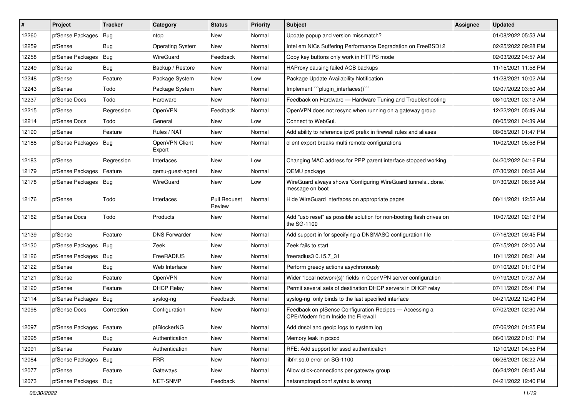| #     | Project                    | <b>Tracker</b> | Category                 | <b>Status</b>                 | <b>Priority</b> | <b>Subject</b>                                                                                | <b>Assignee</b> | <b>Updated</b>      |
|-------|----------------------------|----------------|--------------------------|-------------------------------|-----------------|-----------------------------------------------------------------------------------------------|-----------------|---------------------|
| 12260 | pfSense Packages           | Bug            | ntop                     | New                           | Normal          | Update popup and version missmatch?                                                           |                 | 01/08/2022 05:53 AM |
| 12259 | pfSense                    | Bug            | <b>Operating System</b>  | New                           | Normal          | Intel em NICs Suffering Performance Degradation on FreeBSD12                                  |                 | 02/25/2022 09:28 PM |
| 12258 | pfSense Packages           | Bug            | WireGuard                | Feedback                      | Normal          | Copy key buttons only work in HTTPS mode                                                      |                 | 02/03/2022 04:57 AM |
| 12249 | pfSense                    | Bug            | Backup / Restore         | New                           | Normal          | HAProxy causing failed ACB backups                                                            |                 | 11/15/2021 11:58 PM |
| 12248 | pfSense                    | Feature        | Package System           | <b>New</b>                    | Low             | Package Update Availability Notification                                                      |                 | 11/28/2021 10:02 AM |
| 12243 | pfSense                    | Todo           | Package System           | New                           | Normal          | Implement "`plugin_interfaces()`"                                                             |                 | 02/07/2022 03:50 AM |
| 12237 | pfSense Docs               | Todo           | Hardware                 | New                           | Normal          | Feedback on Hardware - Hardware Tuning and Troubleshooting                                    |                 | 08/10/2021 03:13 AM |
| 12215 | pfSense                    | Regression     | OpenVPN                  | Feedback                      | Normal          | OpenVPN does not resync when running on a gateway group                                       |                 | 12/22/2021 05:49 AM |
| 12214 | pfSense Docs               | Todo           | General                  | New                           | Low             | Connect to WebGui.                                                                            |                 | 08/05/2021 04:39 AM |
| 12190 | pfSense                    | Feature        | Rules / NAT              | <b>New</b>                    | Normal          | Add ability to reference ipv6 prefix in firewall rules and aliases                            |                 | 08/05/2021 01:47 PM |
| 12188 | pfSense Packages           | Bug            | OpenVPN Client<br>Export | New                           | Normal          | client export breaks multi remote configurations                                              |                 | 10/02/2021 05:58 PM |
| 12183 | pfSense                    | Regression     | Interfaces               | <b>New</b>                    | Low             | Changing MAC address for PPP parent interface stopped working                                 |                 | 04/20/2022 04:16 PM |
| 12179 | pfSense Packages           | Feature        | qemu-guest-agent         | New                           | Normal          | QEMU package                                                                                  |                 | 07/30/2021 08:02 AM |
| 12178 | pfSense Packages   Bug     |                | WireGuard                | New                           | Low             | WireGuard always shows 'Configuring WireGuard tunnelsdone.'<br>message on boot                |                 | 07/30/2021 06:58 AM |
| 12176 | pfSense                    | Todo           | Interfaces               | <b>Pull Request</b><br>Review | Normal          | Hide WireGuard interfaces on appropriate pages                                                |                 | 08/11/2021 12:52 AM |
| 12162 | pfSense Docs               | Todo           | Products                 | New                           | Normal          | Add "usb reset" as possible solution for non-booting flash drives on<br>the SG-1100           |                 | 10/07/2021 02:19 PM |
| 12139 | pfSense                    | Feature        | <b>DNS Forwarder</b>     | <b>New</b>                    | Normal          | Add support in for specifying a DNSMASQ configuration file                                    |                 | 07/16/2021 09:45 PM |
| 12130 | pfSense Packages           | Bug            | Zeek                     | New                           | Normal          | Zeek fails to start                                                                           |                 | 07/15/2021 02:00 AM |
| 12126 | pfSense Packages           | Bug            | FreeRADIUS               | New                           | Normal          | freeradius3 0.15.7 31                                                                         |                 | 10/11/2021 08:21 AM |
| 12122 | pfSense                    | Bug            | Web Interface            | <b>New</b>                    | Normal          | Perform greedy actions asychronously                                                          |                 | 07/10/2021 01:10 PM |
| 12121 | pfSense                    | Feature        | OpenVPN                  | New                           | Normal          | Wider "local network(s)" fields in OpenVPN server configuration                               |                 | 07/19/2021 07:37 AM |
| 12120 | pfSense                    | Feature        | <b>DHCP Relay</b>        | New                           | Normal          | Permit several sets of destination DHCP servers in DHCP relay                                 |                 | 07/11/2021 05:41 PM |
| 12114 | pfSense Packages           | Bug            | syslog-ng                | Feedback                      | Normal          | syslog-ng only binds to the last specified interface                                          |                 | 04/21/2022 12:40 PM |
| 12098 | pfSense Docs               | Correction     | Configuration            | New                           | Normal          | Feedback on pfSense Configuration Recipes - Accessing a<br>CPE/Modem from Inside the Firewall |                 | 07/02/2021 02:30 AM |
| 12097 | pfSense Packages   Feature |                | pfBlockerNG              | New                           | Normal          | Add dnsbl and geoip logs to system log                                                        |                 | 07/06/2021 01:25 PM |
| 12095 | pfSense                    | Bug            | Authentication           | New                           | Normal          | Memory leak in pcscd                                                                          |                 | 06/01/2022 01:01 PM |
| 12091 | pfSense                    | Feature        | Authentication           | New                           | Normal          | RFE: Add support for sssd authentication                                                      |                 | 12/10/2021 04:55 PM |
| 12084 | pfSense Packages           | Bug            | <b>FRR</b>               | New                           | Normal          | libfrr.so.0 error on SG-1100                                                                  |                 | 06/26/2021 08:22 AM |
| 12077 | pfSense                    | Feature        | Gateways                 | New                           | Normal          | Allow stick-connections per gateway group                                                     |                 | 06/24/2021 08:45 AM |
| 12073 | pfSense Packages   Bug     |                | NET-SNMP                 | Feedback                      | Normal          | netsnmptrapd.conf syntax is wrong                                                             |                 | 04/21/2022 12:40 PM |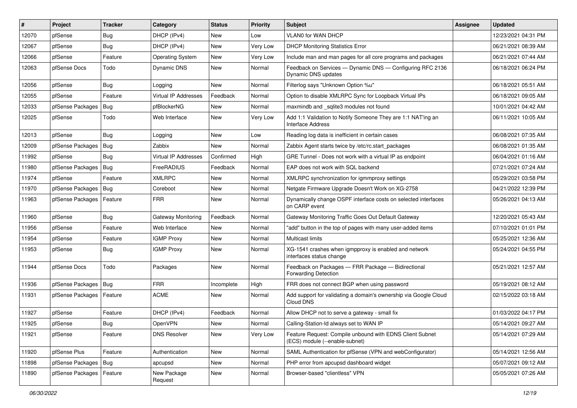| #     | Project          | <b>Tracker</b> | Category                | <b>Status</b> | <b>Priority</b> | <b>Subject</b>                                                                             | Assignee | <b>Updated</b>      |
|-------|------------------|----------------|-------------------------|---------------|-----------------|--------------------------------------------------------------------------------------------|----------|---------------------|
| 12070 | pfSense          | Bug            | DHCP (IPv4)             | New           | Low             | <b>VLAN0 for WAN DHCP</b>                                                                  |          | 12/23/2021 04:31 PM |
| 12067 | pfSense          | Bug            | DHCP (IPv4)             | New           | Very Low        | <b>DHCP Monitoring Statistics Error</b>                                                    |          | 06/21/2021 08:39 AM |
| 12066 | pfSense          | Feature        | <b>Operating System</b> | New           | Very Low        | Include man and man pages for all core programs and packages                               |          | 06/21/2021 07:44 AM |
| 12063 | pfSense Docs     | Todo           | Dynamic DNS             | New           | Normal          | Feedback on Services - Dynamic DNS - Configuring RFC 2136<br>Dynamic DNS updates           |          | 06/18/2021 06:24 PM |
| 12056 | pfSense          | Bug            | Logging                 | New           | Normal          | Filterlog says "Unknown Option %u"                                                         |          | 06/18/2021 05:51 AM |
| 12055 | pfSense          | Feature        | Virtual IP Addresses    | Feedback      | Normal          | Option to disable XMLRPC Sync for Loopback Virtual IPs                                     |          | 06/18/2021 09:05 AM |
| 12033 | pfSense Packages | Bug            | pfBlockerNG             | <b>New</b>    | Normal          | maxmindb and _sqlite3 modules not found                                                    |          | 10/01/2021 04:42 AM |
| 12025 | pfSense          | Todo           | Web Interface           | New           | Very Low        | Add 1:1 Validation to Notify Someone They are 1:1 NAT'ing an<br><b>Interface Address</b>   |          | 06/11/2021 10:05 AM |
| 12013 | pfSense          | Bug            | Logging                 | <b>New</b>    | Low             | Reading log data is inefficient in certain cases                                           |          | 06/08/2021 07:35 AM |
| 12009 | pfSense Packages | Bug            | Zabbix                  | New           | Normal          | Zabbix Agent starts twice by /etc/rc.start_packages                                        |          | 06/08/2021 01:35 AM |
| 11992 | pfSense          | Bug            | Virtual IP Addresses    | Confirmed     | High            | GRE Tunnel - Does not work with a virtual IP as endpoint                                   |          | 06/04/2021 01:16 AM |
| 11980 | pfSense Packages | <b>Bug</b>     | FreeRADIUS              | Feedback      | Normal          | EAP does not work with SQL backend                                                         |          | 07/21/2021 07:24 AM |
| 11974 | pfSense          | Feature        | <b>XMLRPC</b>           | <b>New</b>    | Normal          | XMLRPC synchronization for igmmproxy settings                                              |          | 05/29/2021 03:58 PM |
| 11970 | pfSense Packages | Bug            | Coreboot                | <b>New</b>    | Normal          | Netgate Firmware Upgrade Doesn't Work on XG-2758                                           |          | 04/21/2022 12:39 PM |
| 11963 | pfSense Packages | Feature        | <b>FRR</b>              | New           | Normal          | Dynamically change OSPF interface costs on selected interfaces<br>on CARP event            |          | 05/26/2021 04:13 AM |
| 11960 | pfSense          | Bug            | Gateway Monitoring      | Feedback      | Normal          | Gateway Monitoring Traffic Goes Out Default Gateway                                        |          | 12/20/2021 05:43 AM |
| 11956 | pfSense          | Feature        | Web Interface           | New           | Normal          | "add" button in the top of pages with many user-added items                                |          | 07/10/2021 01:01 PM |
| 11954 | pfSense          | Feature        | <b>IGMP Proxy</b>       | New           | Normal          | Multicast limits                                                                           |          | 05/25/2021 12:36 AM |
| 11953 | pfSense          | Bug            | <b>IGMP Proxy</b>       | New           | Normal          | XG-1541 crashes when igmpproxy is enabled and network<br>interfaces status change          |          | 05/24/2021 04:55 PM |
| 11944 | pfSense Docs     | Todo           | Packages                | New           | Normal          | Feedback on Packages - FRR Package - Bidirectional<br><b>Forwarding Detection</b>          |          | 05/21/2021 12:57 AM |
| 11936 | pfSense Packages | Bug            | <b>FRR</b>              | Incomplete    | High            | FRR does not connect BGP when using password                                               |          | 05/19/2021 08:12 AM |
| 11931 | pfSense Packages | Feature        | <b>ACME</b>             | <b>New</b>    | Normal          | Add support for validating a domain's ownership via Google Cloud<br>Cloud DNS              |          | 02/15/2022 03:18 AM |
| 11927 | pfSense          | Feature        | DHCP (IPv4)             | Feedback      | Normal          | Allow DHCP not to serve a gateway - small fix                                              |          | 01/03/2022 04:17 PM |
| 11925 | pfSense          | Bug            | OpenVPN                 | New           | Normal          | Calling-Station-Id always set to WAN IP                                                    |          | 05/14/2021 09:27 AM |
| 11921 | pfSense          | Feature        | <b>DNS Resolver</b>     | New           | Very Low        | Feature Request: Compile unbound with EDNS Client Subnet<br>(ECS) module (--enable-subnet) |          | 05/14/2021 07:29 AM |
| 11920 | pfSense Plus     | Feature        | Authentication          | New           | Normal          | SAML Authentication for pfSense (VPN and webConfigurator)                                  |          | 05/14/2021 12:56 AM |
| 11898 | pfSense Packages | Bug            | apcupsd                 | New           | Normal          | PHP error from apcupsd dashboard widget                                                    |          | 05/07/2021 09:12 AM |
| 11890 | pfSense Packages | Feature        | New Package<br>Request  | New           | Normal          | Browser-based "clientless" VPN                                                             |          | 05/05/2021 07:26 AM |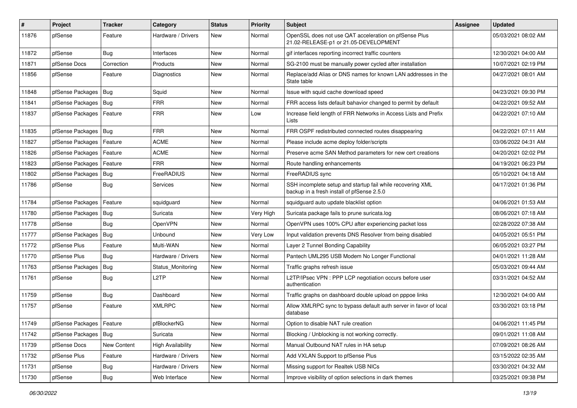| #     | Project                    | <b>Tracker</b> | Category                 | <b>Status</b> | <b>Priority</b> | <b>Subject</b>                                                                                           | <b>Assignee</b> | <b>Updated</b>      |
|-------|----------------------------|----------------|--------------------------|---------------|-----------------|----------------------------------------------------------------------------------------------------------|-----------------|---------------------|
| 11876 | pfSense                    | Feature        | Hardware / Drivers       | New           | Normal          | OpenSSL does not use QAT acceleration on pfSense Plus<br>21.02-RELEASE-p1 or 21.05-DEVELOPMENT           |                 | 05/03/2021 08:02 AM |
| 11872 | pfSense                    | Bug            | Interfaces               | New           | Normal          | gif interfaces reporting incorrect traffic counters                                                      |                 | 12/30/2021 04:00 AM |
| 11871 | pfSense Docs               | Correction     | Products                 | <b>New</b>    | Normal          | SG-2100 must be manually power cycled after installation                                                 |                 | 10/07/2021 02:19 PM |
| 11856 | pfSense                    | Feature        | Diagnostics              | <b>New</b>    | Normal          | Replace/add Alias or DNS names for known LAN addresses in the<br>State table                             |                 | 04/27/2021 08:01 AM |
| 11848 | pfSense Packages           | Bug            | Squid                    | New           | Normal          | Issue with squid cache download speed                                                                    |                 | 04/23/2021 09:30 PM |
| 11841 | pfSense Packages           | <b>Bug</b>     | <b>FRR</b>               | <b>New</b>    | Normal          | FRR access lists default bahavior changed to permit by default                                           |                 | 04/22/2021 09:52 AM |
| 11837 | pfSense Packages           | Feature        | <b>FRR</b>               | New           | Low             | Increase field length of FRR Networks in Access Lists and Prefix<br>Lists                                |                 | 04/22/2021 07:10 AM |
| 11835 | pfSense Packages           | Bug            | <b>FRR</b>               | New           | Normal          | FRR OSPF redistributed connected routes disappearing                                                     |                 | 04/22/2021 07:11 AM |
| 11827 | pfSense Packages           | Feature        | <b>ACME</b>              | <b>New</b>    | Normal          | Please include acme deploy folder/scripts                                                                |                 | 03/06/2022 04:31 AM |
| 11826 | pfSense Packages           | Feature        | <b>ACME</b>              | <b>New</b>    | Normal          | Preserve acme SAN Method parameters for new cert creations                                               |                 | 04/20/2021 02:02 PM |
| 11823 | pfSense Packages           | Feature        | FRR                      | New           | Normal          | Route handling enhancements                                                                              |                 | 04/19/2021 06:23 PM |
| 11802 | pfSense Packages           | Bug            | FreeRADIUS               | New           | Normal          | FreeRADIUS sync                                                                                          |                 | 05/10/2021 04:18 AM |
| 11786 | pfSense                    | Bug            | <b>Services</b>          | New           | Normal          | SSH incomplete setup and startup fail while recovering XML<br>backup in a fresh install of pfSense 2.5.0 |                 | 04/17/2021 01:36 PM |
| 11784 | pfSense Packages           | Feature        | squidguard               | <b>New</b>    | Normal          | squidguard auto update blacklist option                                                                  |                 | 04/06/2021 01:53 AM |
| 11780 | pfSense Packages           | Bug            | Suricata                 | New           | Very High       | Suricata package fails to prune suricata.log                                                             |                 | 08/06/2021 07:18 AM |
| 11778 | pfSense                    | Bug            | <b>OpenVPN</b>           | <b>New</b>    | Normal          | OpenVPN uses 100% CPU after experiencing packet loss                                                     |                 | 02/28/2022 07:38 AM |
| 11777 | pfSense Packages           | Bug            | Unbound                  | <b>New</b>    | Very Low        | Input validation prevents DNS Resolver from being disabled                                               |                 | 04/05/2021 05:51 PM |
| 11772 | pfSense Plus               | Feature        | Multi-WAN                | New           | Normal          | Layer 2 Tunnel Bonding Capability                                                                        |                 | 06/05/2021 03:27 PM |
| 11770 | pfSense Plus               | Bug            | Hardware / Drivers       | <b>New</b>    | Normal          | Pantech UML295 USB Modem No Longer Functional                                                            |                 | 04/01/2021 11:28 AM |
| 11763 | pfSense Packages           | Bug            | Status_Monitoring        | New           | Normal          | Traffic graphs refresh issue                                                                             |                 | 05/03/2021 09:44 AM |
| 11761 | pfSense                    | Bug            | L <sub>2</sub> TP        | New           | Normal          | L2TP/IPsec VPN : PPP LCP negotiation occurs before user<br>authentication                                |                 | 03/31/2021 04:52 AM |
| 11759 | pfSense                    | Bug            | Dashboard                | New           | Normal          | Traffic graphs on dashboard double upload on pppoe links                                                 |                 | 12/30/2021 04:00 AM |
| 11757 | pfSense                    | Feature        | <b>XMLRPC</b>            | New           | Normal          | Allow XMLRPC sync to bypass default auth server in favor of local<br>database                            |                 | 03/30/2021 03:18 PM |
| 11749 | pfSense Packages   Feature |                | pfBlockerNG              | New           | Normal          | Option to disable NAT rule creation                                                                      |                 | 04/06/2021 11:45 PM |
| 11742 | pfSense Packages           | <b>Bug</b>     | Suricata                 | New           | Normal          | Blocking / Unblocking is not working correctly.                                                          |                 | 09/01/2021 11:08 AM |
| 11739 | pfSense Docs               | New Content    | <b>High Availability</b> | New           | Normal          | Manual Outbound NAT rules in HA setup                                                                    |                 | 07/09/2021 08:26 AM |
| 11732 | pfSense Plus               | Feature        | Hardware / Drivers       | New           | Normal          | Add VXLAN Support to pfSense Plus                                                                        |                 | 03/15/2022 02:35 AM |
| 11731 | pfSense                    | Bug            | Hardware / Drivers       | New           | Normal          | Missing support for Realtek USB NICs                                                                     |                 | 03/30/2021 04:32 AM |
| 11730 | pfSense                    | Bug            | Web Interface            | New           | Normal          | Improve visibility of option selections in dark themes                                                   |                 | 03/25/2021 09:38 PM |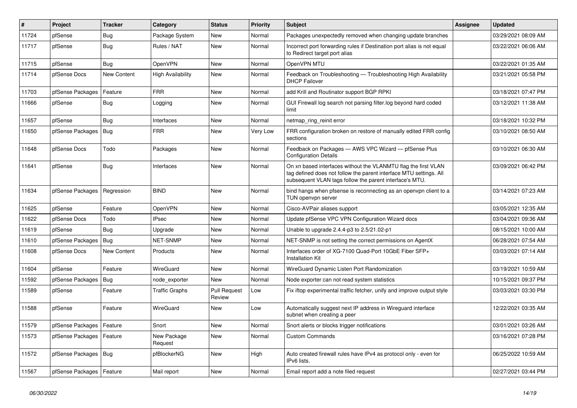| #     | Project                    | <b>Tracker</b> | Category               | <b>Status</b>                 | <b>Priority</b> | <b>Subject</b>                                                                                                                                                                                  | <b>Assignee</b> | <b>Updated</b>      |
|-------|----------------------------|----------------|------------------------|-------------------------------|-----------------|-------------------------------------------------------------------------------------------------------------------------------------------------------------------------------------------------|-----------------|---------------------|
| 11724 | pfSense                    | <b>Bug</b>     | Package System         | <b>New</b>                    | Normal          | Packages unexpectedly removed when changing update branches                                                                                                                                     |                 | 03/29/2021 08:09 AM |
| 11717 | pfSense                    | <b>Bug</b>     | Rules / NAT            | <b>New</b>                    | Normal          | Incorrect port forwarding rules if Destination port alias is not equal<br>to Redirect target port alias                                                                                         |                 | 03/22/2021 06:06 AM |
| 11715 | pfSense                    | Bug            | <b>OpenVPN</b>         | <b>New</b>                    | Normal          | OpenVPN MTU                                                                                                                                                                                     |                 | 03/22/2021 01:35 AM |
| 11714 | pfSense Docs               | New Content    | High Availability      | <b>New</b>                    | Normal          | Feedback on Troubleshooting - Troubleshooting High Availability<br><b>DHCP Failover</b>                                                                                                         |                 | 03/21/2021 05:58 PM |
| 11703 | pfSense Packages           | Feature        | <b>FRR</b>             | <b>New</b>                    | Normal          | add Krill and Routinator support BGP RPKI                                                                                                                                                       |                 | 03/18/2021 07:47 PM |
| 11666 | pfSense                    | Bug            | Logging                | New                           | Normal          | GUI Firewall log search not parsing filter.log beyond hard coded<br>limit                                                                                                                       |                 | 03/12/2021 11:38 AM |
| 11657 | pfSense                    | Bug            | Interfaces             | <b>New</b>                    | Normal          | netmap ring reinit error                                                                                                                                                                        |                 | 03/18/2021 10:32 PM |
| 11650 | pfSense Packages           | Bug            | <b>FRR</b>             | <b>New</b>                    | Very Low        | FRR configuration broken on restore of manually edited FRR config<br>sections                                                                                                                   |                 | 03/10/2021 08:50 AM |
| 11648 | pfSense Docs               | Todo           | Packages               | <b>New</b>                    | Normal          | Feedback on Packages - AWS VPC Wizard - pfSense Plus<br><b>Configuration Details</b>                                                                                                            |                 | 03/10/2021 06:30 AM |
| 11641 | pfSense                    | <b>Bug</b>     | Interfaces             | <b>New</b>                    | Normal          | On xn based interfaces without the VLANMTU flag the first VLAN<br>tag defined does not follow the parent interface MTU settings. All<br>subsequent VLAN tags follow the parent interface's MTU. |                 | 03/09/2021 06:42 PM |
| 11634 | pfSense Packages           | Regression     | <b>BIND</b>            | <b>New</b>                    | Normal          | bind hangs when pfsense is reconnecting as an openypn client to a<br>TUN openvpn server                                                                                                         |                 | 03/14/2021 07:23 AM |
| 11625 | pfSense                    | Feature        | OpenVPN                | <b>New</b>                    | Normal          | Cisco-AVPair aliases support                                                                                                                                                                    |                 | 03/05/2021 12:35 AM |
| 11622 | pfSense Docs               | Todo           | <b>IPsec</b>           | <b>New</b>                    | Normal          | Update pfSense VPC VPN Configuration Wizard docs                                                                                                                                                |                 | 03/04/2021 09:36 AM |
| 11619 | pfSense                    | Bug            | Upgrade                | <b>New</b>                    | Normal          | Unable to upgrade 2.4.4-p3 to 2.5/21.02-p1                                                                                                                                                      |                 | 08/15/2021 10:00 AM |
| 11610 | pfSense Packages           | <b>Bug</b>     | <b>NET-SNMP</b>        | <b>New</b>                    | Normal          | NET-SNMP is not setting the correct permissions on AgentX                                                                                                                                       |                 | 06/28/2021 07:54 AM |
| 11608 | pfSense Docs               | New Content    | Products               | <b>New</b>                    | Normal          | Interfaces order of XG-7100 Quad-Port 10GbE Fiber SFP+<br><b>Installation Kit</b>                                                                                                               |                 | 03/03/2021 07:14 AM |
| 11604 | pfSense                    | Feature        | WireGuard              | <b>New</b>                    | Normal          | WireGuard Dynamic Listen Port Randomization                                                                                                                                                     |                 | 03/19/2021 10:59 AM |
| 11592 | pfSense Packages           | <b>Bug</b>     | node exporter          | <b>New</b>                    | Normal          | Node exporter can not read system statistics                                                                                                                                                    |                 | 10/15/2021 09:37 PM |
| 11589 | pfSense                    | Feature        | <b>Traffic Graphs</b>  | <b>Pull Request</b><br>Review | Low             | Fix iftop experimental traffic fetcher, unify and improve output style                                                                                                                          |                 | 03/03/2021 03:30 PM |
| 11588 | pfSense                    | Feature        | <b>WireGuard</b>       | <b>New</b>                    | Low             | Automatically suggest next IP address in Wireguard interface<br>subnet when creating a peer                                                                                                     |                 | 12/22/2021 03:35 AM |
| 11579 | pfSense Packages           | Feature        | Snort                  | <b>New</b>                    | Normal          | Snort alerts or blocks trigger notifications                                                                                                                                                    |                 | 03/01/2021 03:26 AM |
| 11573 | pfSense Packages           | Feature        | New Package<br>Request | New                           | Normal          | <b>Custom Commands</b>                                                                                                                                                                          |                 | 03/16/2021 07:28 PM |
| 11572 | pfSense Packages           | <b>Bug</b>     | pfBlockerNG            | <b>New</b>                    | High            | Auto created firewall rules have IPv4 as protocol only - even for<br>IPv6 lists.                                                                                                                |                 | 06/25/2022 10:59 AM |
| 11567 | pfSense Packages   Feature |                | Mail report            | New                           | Normal          | Email report add a note filed request                                                                                                                                                           |                 | 02/27/2021 03:44 PM |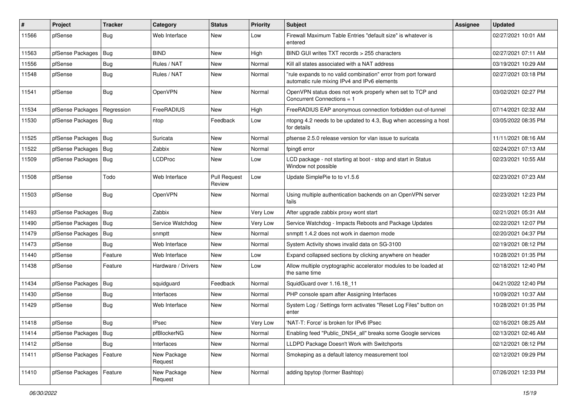| #     | Project                | <b>Tracker</b> | Category               | <b>Status</b>                 | <b>Priority</b> | <b>Subject</b>                                                                                                 | <b>Assignee</b> | <b>Updated</b>      |
|-------|------------------------|----------------|------------------------|-------------------------------|-----------------|----------------------------------------------------------------------------------------------------------------|-----------------|---------------------|
| 11566 | pfSense                | Bug            | Web Interface          | New                           | Low             | Firewall Maximum Table Entries "default size" is whatever is<br>entered                                        |                 | 02/27/2021 10:01 AM |
| 11563 | pfSense Packages       | Bug            | <b>BIND</b>            | New                           | High            | BIND GUI writes TXT records > 255 characters                                                                   |                 | 02/27/2021 07:11 AM |
| 11556 | pfSense                | Bug            | Rules / NAT            | New                           | Normal          | Kill all states associated with a NAT address                                                                  |                 | 03/19/2021 10:29 AM |
| 11548 | pfSense                | Bug            | Rules / NAT            | <b>New</b>                    | Normal          | "rule expands to no valid combination" error from port forward<br>automatic rule mixing IPv4 and IPv6 elements |                 | 02/27/2021 03:18 PM |
| 11541 | pfSense                | Bug            | OpenVPN                | New                           | Normal          | OpenVPN status does not work properly when set to TCP and<br>Concurrent Connections = 1                        |                 | 03/02/2021 02:27 PM |
| 11534 | pfSense Packages       | Regression     | <b>FreeRADIUS</b>      | New                           | High            | FreeRADIUS EAP anonymous connection forbidden out-of-tunnel                                                    |                 | 07/14/2021 02:32 AM |
| 11530 | pfSense Packages   Bug |                | ntop                   | Feedback                      | Low             | ntopng 4.2 needs to be updated to 4.3, Bug when accessing a host<br>for details                                |                 | 03/05/2022 08:35 PM |
| 11525 | pfSense Packages       | Bug            | Suricata               | New                           | Normal          | pfsense 2.5.0 release version for vlan issue to suricata                                                       |                 | 11/11/2021 08:16 AM |
| 11522 | pfSense Packages       | Bug            | Zabbix                 | New                           | Normal          | fping6 error                                                                                                   |                 | 02/24/2021 07:13 AM |
| 11509 | pfSense Packages       | Bug            | LCDProc                | New                           | Low             | LCD package - not starting at boot - stop and start in Status<br>Window not possible                           |                 | 02/23/2021 10:55 AM |
| 11508 | pfSense                | Todo           | Web Interface          | <b>Pull Request</b><br>Review | Low             | Update SimplePie to to v1.5.6                                                                                  |                 | 02/23/2021 07:23 AM |
| 11503 | pfSense                | Bug            | OpenVPN                | New                           | Normal          | Using multiple authentication backends on an OpenVPN server<br>fails                                           |                 | 02/23/2021 12:23 PM |
| 11493 | pfSense Packages       | Bug            | Zabbix                 | New                           | Very Low        | After upgrade zabbix proxy wont start                                                                          |                 | 02/21/2021 05:31 AM |
| 11490 | pfSense Packages       | Bug            | Service Watchdog       | New                           | Very Low        | Service Watchdog - Impacts Reboots and Package Updates                                                         |                 | 02/22/2021 12:07 PM |
| 11479 | pfSense Packages       | Bug            | snmptt                 | New                           | Normal          | snmptt 1.4.2 does not work in daemon mode                                                                      |                 | 02/20/2021 04:37 PM |
| 11473 | pfSense                | Bug            | Web Interface          | <b>New</b>                    | Normal          | System Activity shows invalid data on SG-3100                                                                  |                 | 02/19/2021 08:12 PM |
| 11440 | pfSense                | Feature        | Web Interface          | <b>New</b>                    | Low             | Expand collapsed sections by clicking anywhere on header                                                       |                 | 10/28/2021 01:35 PM |
| 11438 | pfSense                | Feature        | Hardware / Drivers     | New                           | Low             | Allow multiple cryptographic accelerator modules to be loaded at<br>the same time                              |                 | 02/18/2021 12:40 PM |
| 11434 | pfSense Packages       | Bug            | squidguard             | Feedback                      | Normal          | SquidGuard over 1.16.18 11                                                                                     |                 | 04/21/2022 12:40 PM |
| 11430 | pfSense                | Bug            | Interfaces             | New                           | Normal          | PHP console spam after Assigning Interfaces                                                                    |                 | 10/09/2021 10:37 AM |
| 11429 | pfSense                | Bug            | Web Interface          | New                           | Normal          | System Log / Settings form activates "Reset Log Files" button on<br>enter                                      |                 | 10/28/2021 01:35 PM |
| 11418 | pfSense                | <b>Bug</b>     | <b>IPsec</b>           | <b>New</b>                    | Very Low        | 'NAT-T: Force' is broken for IPv6 IPsec                                                                        |                 | 02/16/2021 08:25 AM |
| 11414 | pfSense Packages   Bug |                | pfBlockerNG            | New                           | Normal          | Enabling feed "Public DNS4 all" breaks some Google services                                                    |                 | 02/13/2021 02:46 AM |
| 11412 | pfSense                | Bug            | Interfaces             | New                           | Normal          | LLDPD Package Doesn't Work with Switchports                                                                    |                 | 02/12/2021 08:12 PM |
| 11411 | pfSense Packages       | Feature        | New Package<br>Request | New                           | Normal          | Smokeping as a default latency measurement tool                                                                |                 | 02/12/2021 09:29 PM |
| 11410 | pfSense Packages       | Feature        | New Package<br>Request | New                           | Normal          | adding bpytop (former Bashtop)                                                                                 |                 | 07/26/2021 12:33 PM |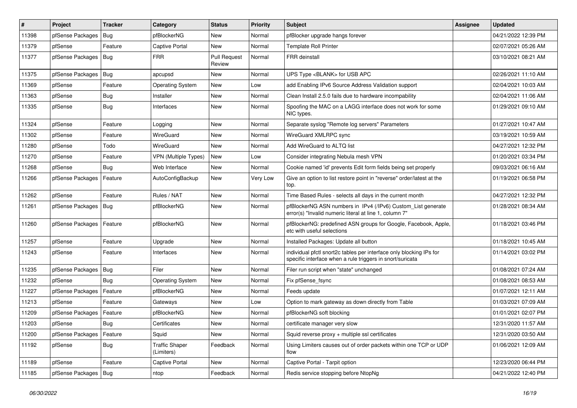| $\vert$ # | Project          | <b>Tracker</b> | Category                            | <b>Status</b>                 | <b>Priority</b> | <b>Subject</b>                                                                                                                   | <b>Assignee</b> | <b>Updated</b>      |
|-----------|------------------|----------------|-------------------------------------|-------------------------------|-----------------|----------------------------------------------------------------------------------------------------------------------------------|-----------------|---------------------|
| 11398     | pfSense Packages | Bug            | pfBlockerNG                         | New                           | Normal          | pfBlocker upgrade hangs forever                                                                                                  |                 | 04/21/2022 12:39 PM |
| 11379     | pfSense          | Feature        | Captive Portal                      | New                           | Normal          | <b>Template Roll Printer</b>                                                                                                     |                 | 02/07/2021 05:26 AM |
| 11377     | pfSense Packages | Bug            | <b>FRR</b>                          | <b>Pull Request</b><br>Review | Normal          | <b>FRR</b> deinstall                                                                                                             |                 | 03/10/2021 08:21 AM |
| 11375     | pfSense Packages | Bug            | apcupsd                             | <b>New</b>                    | Normal          | UPS Type <blank> for USB APC</blank>                                                                                             |                 | 02/26/2021 11:10 AM |
| 11369     | pfSense          | Feature        | <b>Operating System</b>             | New                           | Low             | add Enabling IPv6 Source Address Validation support                                                                              |                 | 02/04/2021 10:03 AM |
| 11363     | pfSense          | Bug            | Installer                           | New                           | Normal          | Clean Install 2.5.0 fails due to hardware incompability                                                                          |                 | 02/04/2021 11:06 AM |
| 11335     | pfSense          | Bug            | Interfaces                          | <b>New</b>                    | Normal          | Spoofing the MAC on a LAGG interface does not work for some<br>NIC types.                                                        |                 | 01/29/2021 09:10 AM |
| 11324     | pfSense          | Feature        | Logging                             | <b>New</b>                    | Normal          | Separate syslog "Remote log servers" Parameters                                                                                  |                 | 01/27/2021 10:47 AM |
| 11302     | pfSense          | Feature        | WireGuard                           | New                           | Normal          | WireGuard XMLRPC sync                                                                                                            |                 | 03/19/2021 10:59 AM |
| 11280     | pfSense          | Todo           | WireGuard                           | <b>New</b>                    | Normal          | Add WireGuard to ALTQ list                                                                                                       |                 | 04/27/2021 12:32 PM |
| 11270     | pfSense          | Feature        | <b>VPN (Multiple Types)</b>         | <b>New</b>                    | Low             | Consider integrating Nebula mesh VPN                                                                                             |                 | 01/20/2021 03:34 PM |
| 11268     | pfSense          | Bug            | Web Interface                       | New                           | Normal          | Cookie named 'id' prevents Edit form fields being set properly                                                                   |                 | 09/03/2021 06:16 AM |
| 11266     | pfSense Packages | Feature        | AutoConfigBackup                    | <b>New</b>                    | Very Low        | Give an option to list restore point in "reverse" order/latest at the<br>top.                                                    |                 | 01/19/2021 06:58 PM |
| 11262     | pfSense          | Feature        | Rules / NAT                         | <b>New</b>                    | Normal          | Time Based Rules - selects all days in the current month                                                                         |                 | 04/27/2021 12:32 PM |
| 11261     | pfSense Packages | <b>Bug</b>     | pfBlockerNG                         | <b>New</b>                    | Normal          | pfBlockerNG ASN numbers in IPv4 (/IPv6) Custom List generate<br>error(s) "Invalid numeric literal at line 1, column 7"           |                 | 01/28/2021 08:34 AM |
| 11260     | pfSense Packages | Feature        | pfBlockerNG                         | <b>New</b>                    | Normal          | pfBlockerNG: predefined ASN groups for Google, Facebook, Apple,<br>etc with useful selections                                    |                 | 01/18/2021 03:46 PM |
| 11257     | pfSense          | Feature        | Upgrade                             | New                           | Normal          | Installed Packages: Update all button                                                                                            |                 | 01/18/2021 10:45 AM |
| 11243     | pfSense          | Feature        | Interfaces                          | New                           | Normal          | individual pfctl snort2c tables per interface only blocking IPs for<br>specific interface when a rule triggers in snort/suricata |                 | 01/14/2021 03:02 PM |
| 11235     | pfSense Packages | <b>Bug</b>     | Filer                               | <b>New</b>                    | Normal          | Filer run script when "state" unchanged                                                                                          |                 | 01/08/2021 07:24 AM |
| 11232     | pfSense          | Bug            | <b>Operating System</b>             | <b>New</b>                    | Normal          | Fix pfSense_fsync                                                                                                                |                 | 01/08/2021 08:53 AM |
| 11227     | pfSense Packages | Feature        | pfBlockerNG                         | New                           | Normal          | Feeds update                                                                                                                     |                 | 01/07/2021 12:11 AM |
| 11213     | pfSense          | Feature        | Gateways                            | <b>New</b>                    | Low             | Option to mark gateway as down directly from Table                                                                               |                 | 01/03/2021 07:09 AM |
| 11209     | pfSense Packages | Feature        | pfBlockerNG                         | New                           | Normal          | pfBlockerNG soft blocking                                                                                                        |                 | 01/01/2021 02:07 PM |
| 11203     | pfSense          | Bug            | Certificates                        | New                           | Normal          | certificate manager very slow                                                                                                    |                 | 12/31/2020 11:57 AM |
| 11200     | pfSense Packages | Feature        | Squid                               | New                           | Normal          | Squid reverse proxy + multiple ssl certificates                                                                                  |                 | 12/31/2020 03:50 AM |
| 11192     | pfSense          | <b>Bug</b>     | <b>Traffic Shaper</b><br>(Limiters) | Feedback                      | Normal          | Using Limiters causes out of order packets within one TCP or UDP<br>flow                                                         |                 | 01/06/2021 12:09 AM |
| 11189     | pfSense          | Feature        | Captive Portal                      | New                           | Normal          | Captive Portal - Tarpit option                                                                                                   |                 | 12/23/2020 06:44 PM |
| 11185     | pfSense Packages | Bug            | ntop                                | Feedback                      | Normal          | Redis service stopping before NtopNg                                                                                             |                 | 04/21/2022 12:40 PM |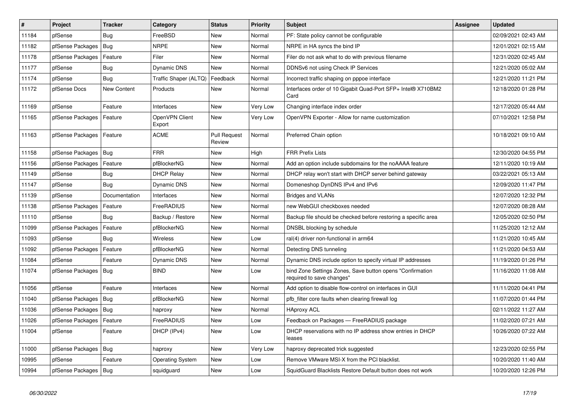| $\vert$ # | Project                | <b>Tracker</b> | Category                 | <b>Status</b>                 | <b>Priority</b> | <b>Subject</b>                                                                         | <b>Assignee</b> | <b>Updated</b>      |
|-----------|------------------------|----------------|--------------------------|-------------------------------|-----------------|----------------------------------------------------------------------------------------|-----------------|---------------------|
| 11184     | pfSense                | Bug            | FreeBSD                  | <b>New</b>                    | Normal          | PF: State policy cannot be configurable                                                |                 | 02/09/2021 02:43 AM |
| 11182     | pfSense Packages       | Bug            | <b>NRPE</b>              | <b>New</b>                    | Normal          | NRPE in HA syncs the bind IP                                                           |                 | 12/01/2021 02:15 AM |
| 11178     | pfSense Packages       | Feature        | Filer                    | <b>New</b>                    | Normal          | Filer do not ask what to do with previous filename                                     |                 | 12/31/2020 02:45 AM |
| 11177     | pfSense                | Bug            | <b>Dynamic DNS</b>       | <b>New</b>                    | Normal          | DDNSv6 not using Check IP Services                                                     |                 | 12/21/2020 05:02 AM |
| 11174     | pfSense                | Bug            | Traffic Shaper (ALTQ)    | Feedback                      | Normal          | Incorrect traffic shaping on pppoe interface                                           |                 | 12/21/2020 11:21 PM |
| 11172     | pfSense Docs           | New Content    | Products                 | New                           | Normal          | Interfaces order of 10 Gigabit Quad-Port SFP+ Intel® X710BM2<br>Card                   |                 | 12/18/2020 01:28 PM |
| 11169     | pfSense                | Feature        | Interfaces               | <b>New</b>                    | Very Low        | Changing interface index order                                                         |                 | 12/17/2020 05:44 AM |
| 11165     | pfSense Packages       | Feature        | OpenVPN Client<br>Export | <b>New</b>                    | Very Low        | OpenVPN Exporter - Allow for name customization                                        |                 | 07/10/2021 12:58 PM |
| 11163     | pfSense Packages       | Feature        | <b>ACME</b>              | <b>Pull Request</b><br>Review | Normal          | Preferred Chain option                                                                 |                 | 10/18/2021 09:10 AM |
| 11158     | pfSense Packages   Bug |                | <b>FRR</b>               | <b>New</b>                    | High            | <b>FRR Prefix Lists</b>                                                                |                 | 12/30/2020 04:55 PM |
| 11156     | pfSense Packages       | Feature        | pfBlockerNG              | <b>New</b>                    | Normal          | Add an option include subdomains for the noAAAA feature                                |                 | 12/11/2020 10:19 AM |
| 11149     | pfSense                | <b>Bug</b>     | <b>DHCP Relay</b>        | <b>New</b>                    | Normal          | DHCP relay won't start with DHCP server behind gateway                                 |                 | 03/22/2021 05:13 AM |
| 11147     | pfSense                | Bug            | Dynamic DNS              | New                           | Normal          | Domeneshop DynDNS IPv4 and IPv6                                                        |                 | 12/09/2020 11:47 PM |
| 11139     | pfSense                | Documentation  | Interfaces               | <b>New</b>                    | Normal          | <b>Bridges and VLANs</b>                                                               |                 | 12/07/2020 12:32 PM |
| 11138     | pfSense Packages       | Feature        | FreeRADIUS               | <b>New</b>                    | Normal          | new WebGUI checkboxes needed                                                           |                 | 12/07/2020 08:28 AM |
| 11110     | pfSense                | Bug            | Backup / Restore         | New                           | Normal          | Backup file should be checked before restoring a specific area                         |                 | 12/05/2020 02:50 PM |
| 11099     | pfSense Packages       | Feature        | pfBlockerNG              | New                           | Normal          | DNSBL blocking by schedule                                                             |                 | 11/25/2020 12:12 AM |
| 11093     | pfSense                | Bug            | <b>Wireless</b>          | <b>New</b>                    | Low             | ral(4) driver non-functional in arm64                                                  |                 | 11/21/2020 10:45 AM |
| 11092     | pfSense Packages       | Feature        | pfBlockerNG              | <b>New</b>                    | Normal          | Detecting DNS tunneling                                                                |                 | 11/21/2020 04:53 AM |
| 11084     | pfSense                | Feature        | Dynamic DNS              | New                           | Normal          | Dynamic DNS include option to specify virtual IP addresses                             |                 | 11/19/2020 01:26 PM |
| 11074     | pfSense Packages       | Bug            | <b>BIND</b>              | New                           | Low             | bind Zone Settings Zones, Save button opens "Confirmation<br>required to save changes" |                 | 11/16/2020 11:08 AM |
| 11056     | pfSense                | Feature        | Interfaces               | <b>New</b>                    | Normal          | Add option to disable flow-control on interfaces in GUI                                |                 | 11/11/2020 04:41 PM |
| 11040     | pfSense Packages       | Bug            | pfBlockerNG              | New                           | Normal          | pfb filter core faults when clearing firewall log                                      |                 | 11/07/2020 01:44 PM |
| 11036     | pfSense Packages   Bug |                | haproxy                  | New                           | Normal          | <b>HAproxy ACL</b>                                                                     |                 | 02/11/2022 11:27 AM |
| 11026     | pfSense Packages       | Feature        | FreeRADIUS               | <b>New</b>                    | Low             | Feedback on Packages - FreeRADIUS package                                              |                 | 11/02/2020 07:21 AM |
| 11004     | pfSense                | Feature        | DHCP (IPv4)              | <b>New</b>                    | Low             | DHCP reservations with no IP address show entries in DHCP<br>leases                    |                 | 10/26/2020 07:22 AM |
| 11000     | pfSense Packages       | Bug            | haproxy                  | <b>New</b>                    | Very Low        | haproxy deprecated trick suggested                                                     |                 | 12/23/2020 02:55 PM |
| 10995     | pfSense                | Feature        | <b>Operating System</b>  | <b>New</b>                    | Low             | Remove VMware MSI-X from the PCI blacklist.                                            |                 | 10/20/2020 11:40 AM |
| 10994     | pfSense Packages   Bug |                | squidguard               | New                           | Low             | SquidGuard Blacklists Restore Default button does not work                             |                 | 10/20/2020 12:26 PM |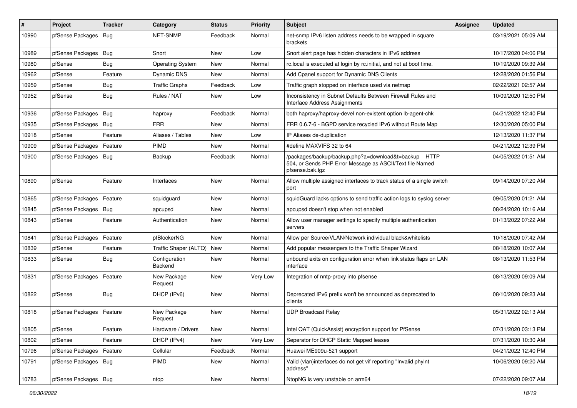| #     | Project                | <b>Tracker</b> | Category                 | <b>Status</b> | <b>Priority</b> | <b>Subject</b>                                                                                                                      | <b>Assignee</b> | <b>Updated</b>      |
|-------|------------------------|----------------|--------------------------|---------------|-----------------|-------------------------------------------------------------------------------------------------------------------------------------|-----------------|---------------------|
| 10990 | pfSense Packages       | Bug            | NET-SNMP                 | Feedback      | Normal          | net-snmp IPv6 listen address needs to be wrapped in square<br>brackets                                                              |                 | 03/19/2021 05:09 AM |
| 10989 | pfSense Packages       | Bug            | Snort                    | New           | Low             | Snort alert page has hidden characters in IPv6 address                                                                              |                 | 10/17/2020 04:06 PM |
| 10980 | pfSense                | Bug            | <b>Operating System</b>  | New           | Normal          | rc.local is executed at login by rc.initial, and not at boot time.                                                                  |                 | 10/19/2020 09:39 AM |
| 10962 | pfSense                | Feature        | Dynamic DNS              | <b>New</b>    | Normal          | Add Cpanel support for Dynamic DNS Clients                                                                                          |                 | 12/28/2020 01:56 PM |
| 10959 | pfSense                | <b>Bug</b>     | <b>Traffic Graphs</b>    | Feedback      | Low             | Traffic graph stopped on interface used via netmap                                                                                  |                 | 02/22/2021 02:57 AM |
| 10952 | pfSense                | <b>Bug</b>     | Rules / NAT              | <b>New</b>    | Low             | Inconsistency in Subnet Defaults Between Firewall Rules and<br><b>Interface Address Assignments</b>                                 |                 | 10/09/2020 12:50 PM |
| 10936 | pfSense Packages       | Bug            | haproxy                  | Feedback      | Normal          | both haproxy/haproxy-devel non-existent option lb-agent-chk                                                                         |                 | 04/21/2022 12:40 PM |
| 10935 | pfSense Packages       | <b>Bug</b>     | <b>FRR</b>               | New           | Normal          | FRR 0.6.7-6 - BGPD service recycled IPv6 without Route Map                                                                          |                 | 12/30/2020 05:00 PM |
| 10918 | pfSense                | Feature        | Aliases / Tables         | New           | Low             | IP Aliases de-duplication                                                                                                           |                 | 12/13/2020 11:37 PM |
| 10909 | pfSense Packages       | Feature        | PIMD                     | New           | Normal          | #define MAXVIFS 32 to 64                                                                                                            |                 | 04/21/2022 12:39 PM |
| 10900 | pfSense Packages       | Bug            | Backup                   | Feedback      | Normal          | /packages/backup/backup.php?a=download&t=backup HTTP<br>504, or Sends PHP Error Message as ASCII/Text file Named<br>pfsense.bak.tgz |                 | 04/05/2022 01:51 AM |
| 10890 | pfSense                | Feature        | Interfaces               | <b>New</b>    | Normal          | Allow multiple assigned interfaces to track status of a single switch<br>port                                                       |                 | 09/14/2020 07:20 AM |
| 10865 | pfSense Packages       | Feature        | squidguard               | <b>New</b>    | Normal          | squidGuard lacks options to send traffic action logs to syslog server                                                               |                 | 09/05/2020 01:21 AM |
| 10845 | pfSense Packages       | Bug            | apcupsd                  | New           | Normal          | apcupsd doesn't stop when not enabled                                                                                               |                 | 08/24/2020 10:16 AM |
| 10843 | pfSense                | Feature        | Authentication           | <b>New</b>    | Normal          | Allow user manager settings to specify multiple authentication<br>servers                                                           |                 | 01/13/2022 07:22 AM |
| 10841 | pfSense Packages       | Feature        | pfBlockerNG              | New           | Normal          | Allow per Source/VLAN/Network individual black&whitelists                                                                           |                 | 10/18/2020 07:42 AM |
| 10839 | pfSense                | Feature        | Traffic Shaper (ALTQ)    | <b>New</b>    | Normal          | Add popular messengers to the Traffic Shaper Wizard                                                                                 |                 | 08/18/2020 10:07 AM |
| 10833 | pfSense                | Bug            | Configuration<br>Backend | <b>New</b>    | Normal          | unbound exits on configuration error when link status flaps on LAN<br>interface                                                     |                 | 08/13/2020 11:53 PM |
| 10831 | pfSense Packages       | Feature        | New Package<br>Request   | <b>New</b>    | Very Low        | Integration of nntp-proxy into pfsense                                                                                              |                 | 08/13/2020 09:09 AM |
| 10822 | pfSense                | Bug            | DHCP (IPv6)              | <b>New</b>    | Normal          | Deprecated IPv6 prefix won't be announced as deprecated to<br>clients                                                               |                 | 08/10/2020 09:23 AM |
| 10818 | pfSense Packages       | Feature        | New Package<br>Request   | <b>New</b>    | Normal          | <b>UDP Broadcast Relay</b>                                                                                                          |                 | 05/31/2022 02:13 AM |
| 10805 | pfSense                | Feature        | Hardware / Drivers       | New           | Normal          | Intel QAT (QuickAssist) encryption support for PfSense                                                                              |                 | 07/31/2020 03:13 PM |
| 10802 | pfSense                | Feature        | DHCP (IPv4)              | New           | Very Low        | Seperator for DHCP Static Mapped leases                                                                                             |                 | 07/31/2020 10:30 AM |
| 10796 | pfSense Packages       | Feature        | Cellular                 | Feedback      | Normal          | Huawei ME909u-521 support                                                                                                           |                 | 04/21/2022 12:40 PM |
| 10791 | pfSense Packages       | Bug            | PIMD                     | New           | Normal          | Valid (vlan)interfaces do not get vif reporting "Invalid phyint<br>address"                                                         |                 | 10/06/2020 09:20 AM |
| 10783 | pfSense Packages   Bug |                | ntop                     | New           | Normal          | NtopNG is very unstable on arm64                                                                                                    |                 | 07/22/2020 09:07 AM |